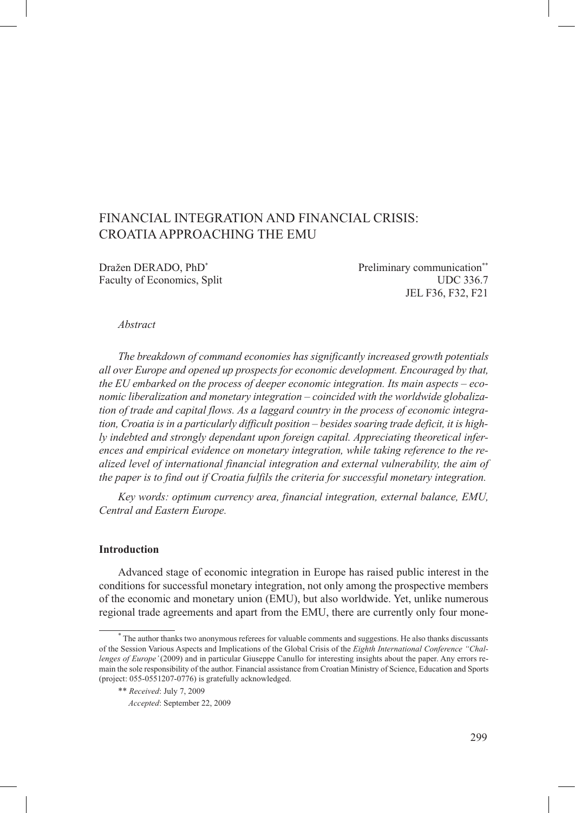# FINANCIAL INTEGRATION AND FINANCIAL CRISIS: CROATIA APPROACHING THE EMU

Dražen DERADO, PhD<sup>\*</sup> Preliminary communication<sup>\*\*</sup>

Faculty of Economics, Split UDC 336.7 JEL F36, F32, F21

#### *Abstract*

*The breakdown of command economies has significantly increased growth potentials all over Europe and opened up prospects for economic development. Encouraged by that, the EU embarked on the process of deeper economic integration. Its main aspects – economic liberalization and monetary integration – coincided with the worldwide globalization of trade and capital flows. As a laggard country in the process of economic integration, Croatia is in a particularly difficult position – besides soaring trade deficit, it is highly indebted and strongly dependant upon foreign capital. Appreciating theoretical inferences and empirical evidence on monetary integration, while taking reference to the realized level of international financial integration and external vulnerability, the aim of the paper is to find out if Croatia fulfils the criteria for successful monetary integration.*

*Key words: optimum currency area, financial integration, external balance, EMU, Central and Eastern Europe.*

# **Introduction**

Advanced stage of economic integration in Europe has raised public interest in the conditions for successful monetary integration, not only among the prospective members of the economic and monetary union (EMU), but also worldwide. Yet, unlike numerous regional trade agreements and apart from the EMU, there are currently only four mone-

<sup>\*</sup> The author thanks two anonymous referees for valuable comments and suggestions. He also thanks discussants of the Session Various Aspects and Implications of the Global Crisis of the *Eighth International Conference "Challenges of Europe'* (2009) and in particular Giuseppe Canullo for interesting insights about the paper. Any errors remain the sole responsibility of the author. Financial assistance from Croatian Ministry of Science, Education and Sports (project: 055-0551207-0776) is gratefully acknowledged.

<sup>\*\*</sup> *Received*: July 7, 2009

<sup>\*\*</sup> *Accepted*: September 22, 2009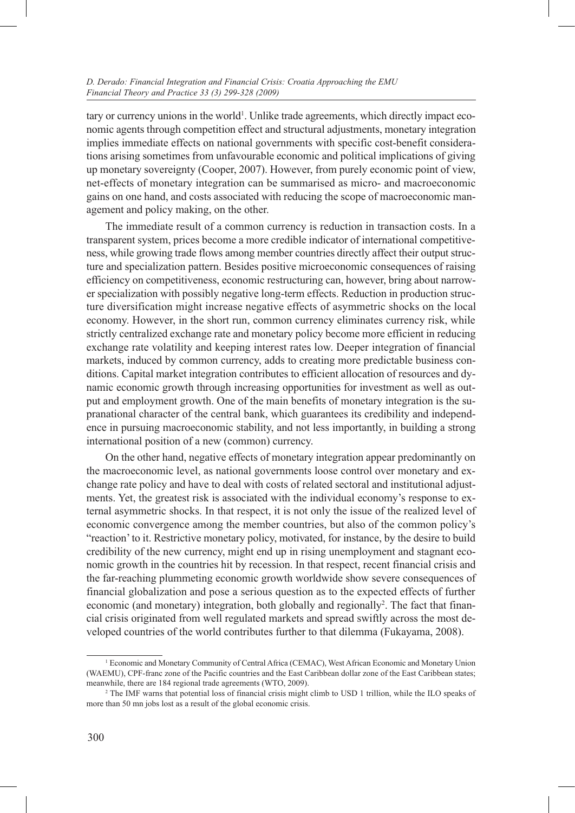tary or currency unions in the world<sup>1</sup>. Unlike trade agreements, which directly impact economic agents through competition effect and structural adjustments, monetary integration implies immediate effects on national governments with specific cost-benefit considerations arising sometimes from unfavourable economic and political implications of giving up monetary sovereignty (Cooper, 2007). However, from purely economic point of view, net-effects of monetary integration can be summarised as micro- and macroeconomic gains on one hand, and costs associated with reducing the scope of macroeconomic management and policy making, on the other.

The immediate result of a common currency is reduction in transaction costs. In a transparent system, prices become a more credible indicator of international competitiveness, while growing trade flows among member countries directly affect their output structure and specialization pattern. Besides positive microeconomic consequences of raising efficiency on competitiveness, economic restructuring can, however, bring about narrower specialization with possibly negative long-term effects. Reduction in production structure diversification might increase negative effects of asymmetric shocks on the local economy. However, in the short run, common currency eliminates currency risk, while strictly centralized exchange rate and monetary policy become more efficient in reducing exchange rate volatility and keeping interest rates low. Deeper integration of financial markets, induced by common currency, adds to creating more predictable business conditions. Capital market integration contributes to efficient allocation of resources and dynamic economic growth through increasing opportunities for investment as well as output and employment growth. One of the main benefits of monetary integration is the supranational character of the central bank, which guarantees its credibility and independence in pursuing macroeconomic stability, and not less importantly, in building a strong international position of a new (common) currency.

On the other hand, negative effects of monetary integration appear predominantly on the macroeconomic level, as national governments loose control over monetary and exchange rate policy and have to deal with costs of related sectoral and institutional adjustments. Yet, the greatest risk is associated with the individual economy's response to external asymmetric shocks. In that respect, it is not only the issue of the realized level of economic convergence among the member countries, but also of the common policy's "reaction' to it. Restrictive monetary policy, motivated, for instance, by the desire to build credibility of the new currency, might end up in rising unemployment and stagnant economic growth in the countries hit by recession. In that respect, recent financial crisis and the far-reaching plummeting economic growth worldwide show severe consequences of financial globalization and pose a serious question as to the expected effects of further economic (and monetary) integration, both globally and regionally<sup>2</sup>. The fact that financial crisis originated from well regulated markets and spread swiftly across the most developed countries of the world contributes further to that dilemma (Fukayama, 2008).

<sup>1</sup> Economic and Monetary Community of Central Africa (CEMAC), West African Economic and Monetary Union (WAEMU), CPF-franc zone of the Pacific countries and the East Caribbean dollar zone of the East Caribbean states; meanwhile, there are 184 regional trade agreements (WTO, 2009).

<sup>&</sup>lt;sup>2</sup> The IMF warns that potential loss of financial crisis might climb to USD 1 trillion, while the ILO speaks of more than 50 mn jobs lost as a result of the global economic crisis.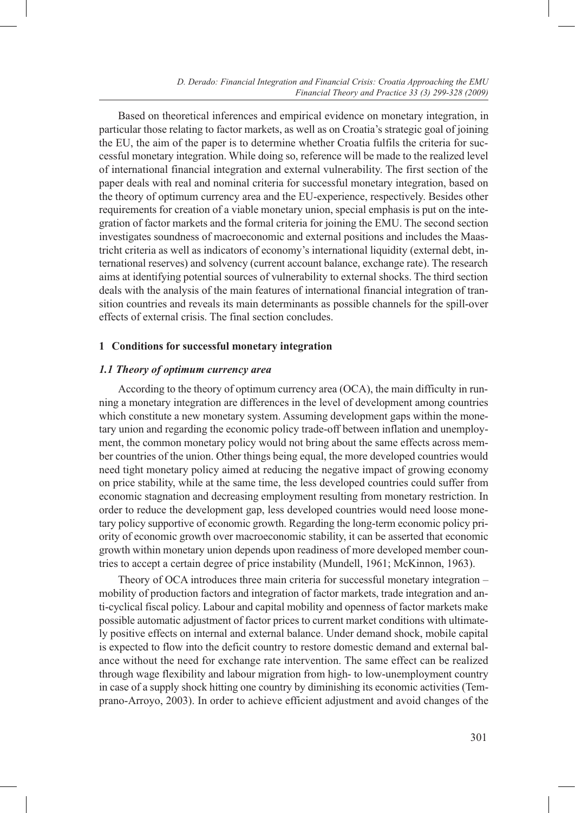Based on theoretical inferences and empirical evidence on monetary integration, in particular those relating to factor markets, as well as on Croatia's strategic goal of joining the EU, the aim of the paper is to determine whether Croatia fulfils the criteria for successful monetary integration. While doing so, reference will be made to the realized level of international financial integration and external vulnerability. The first section of the paper deals with real and nominal criteria for successful monetary integration, based on the theory of optimum currency area and the EU-experience, respectively. Besides other requirements for creation of a viable monetary union, special emphasis is put on the integration of factor markets and the formal criteria for joining the EMU. The second section investigates soundness of macroeconomic and external positions and includes the Maastricht criteria as well as indicators of economy's international liquidity (external debt, international reserves) and solvency (current account balance, exchange rate). The research aims at identifying potential sources of vulnerability to external shocks. The third section deals with the analysis of the main features of international financial integration of transition countries and reveals its main determinants as possible channels for the spill-over effects of external crisis. The final section concludes.

#### **1 Conditions for successful monetary integration**

## *1.1 Theory of optimum currency area*

According to the theory of optimum currency area (OCA), the main difficulty in running a monetary integration are differences in the level of development among countries which constitute a new monetary system. Assuming development gaps within the monetary union and regarding the economic policy trade-off between inflation and unemployment, the common monetary policy would not bring about the same effects across member countries of the union. Other things being equal, the more developed countries would need tight monetary policy aimed at reducing the negative impact of growing economy on price stability, while at the same time, the less developed countries could suffer from economic stagnation and decreasing employment resulting from monetary restriction. In order to reduce the development gap, less developed countries would need loose monetary policy supportive of economic growth. Regarding the long-term economic policy priority of economic growth over macroeconomic stability, it can be asserted that economic growth within monetary union depends upon readiness of more developed member countries to accept a certain degree of price instability (Mundell, 1961; McKinnon, 1963).

Theory of OCA introduces three main criteria for successful monetary integration – mobility of production factors and integration of factor markets, trade integration and anti-cyclical fiscal policy. Labour and capital mobility and openness of factor markets make possible automatic adjustment of factor prices to current market conditions with ultimately positive effects on internal and external balance. Under demand shock, mobile capital is expected to flow into the deficit country to restore domestic demand and external balance without the need for exchange rate intervention. The same effect can be realized through wage flexibility and labour migration from high- to low-unemployment country in case of a supply shock hitting one country by diminishing its economic activities (Temprano-Arroyo, 2003). In order to achieve efficient adjustment and avoid changes of the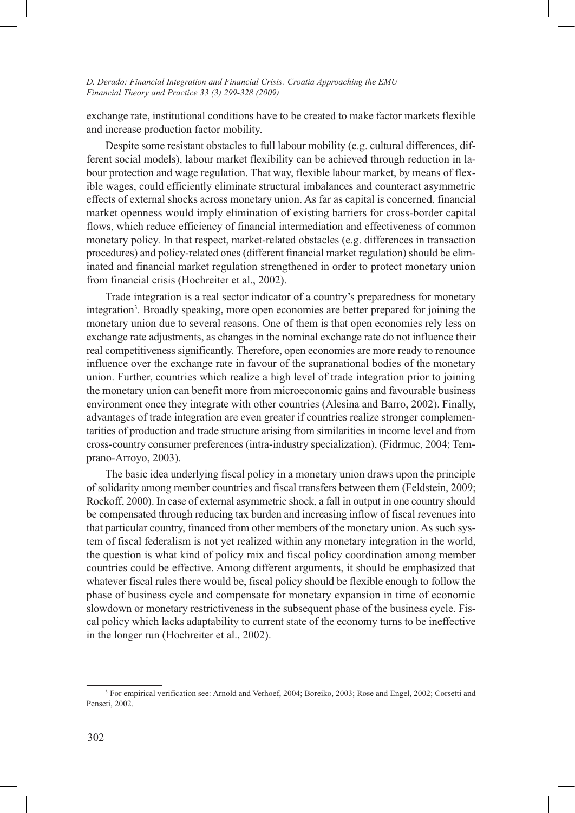exchange rate, institutional conditions have to be created to make factor markets flexible and increase production factor mobility.

Despite some resistant obstacles to full labour mobility (e.g. cultural differences, different social models), labour market flexibility can be achieved through reduction in labour protection and wage regulation. That way, flexible labour market, by means of flexible wages, could efficiently eliminate structural imbalances and counteract asymmetric effects of external shocks across monetary union. As far as capital is concerned, financial market openness would imply elimination of existing barriers for cross-border capital flows, which reduce efficiency of financial intermediation and effectiveness of common monetary policy. In that respect, market-related obstacles (e.g. differences in transaction procedures) and policy-related ones (different financial market regulation) should be eliminated and financial market regulation strengthened in order to protect monetary union from financial crisis (Hochreiter et al., 2002).

Trade integration is a real sector indicator of a country's preparedness for monetary integration<sup>3</sup>. Broadly speaking, more open economies are better prepared for joining the monetary union due to several reasons. One of them is that open economies rely less on exchange rate adjustments, as changes in the nominal exchange rate do not influence their real competitiveness significantly. Therefore, open economies are more ready to renounce influence over the exchange rate in favour of the supranational bodies of the monetary union. Further, countries which realize a high level of trade integration prior to joining the monetary union can benefit more from microeconomic gains and favourable business environment once they integrate with other countries (Alesina and Barro, 2002). Finally, advantages of trade integration are even greater if countries realize stronger complementarities of production and trade structure arising from similarities in income level and from cross-country consumer preferences (intra-industry specialization), (Fidrmuc, 2004; Temprano-Arroyo, 2003).

The basic idea underlying fiscal policy in a monetary union draws upon the principle of solidarity among member countries and fiscal transfers between them (Feldstein, 2009; Rockoff, 2000). In case of external asymmetric shock, a fall in output in one country should be compensated through reducing tax burden and increasing inflow of fiscal revenues into that particular country, financed from other members of the monetary union. As such system of fiscal federalism is not yet realized within any monetary integration in the world, the question is what kind of policy mix and fiscal policy coordination among member countries could be effective. Among different arguments, it should be emphasized that whatever fiscal rules there would be, fiscal policy should be flexible enough to follow the phase of business cycle and compensate for monetary expansion in time of economic slowdown or monetary restrictiveness in the subsequent phase of the business cycle. Fiscal policy which lacks adaptability to current state of the economy turns to be ineffective in the longer run (Hochreiter et al., 2002).

<sup>&</sup>lt;sup>3</sup> For empirical verification see: Arnold and Verhoef, 2004; Boreiko, 2003; Rose and Engel, 2002; Corsetti and Penseti, 2002.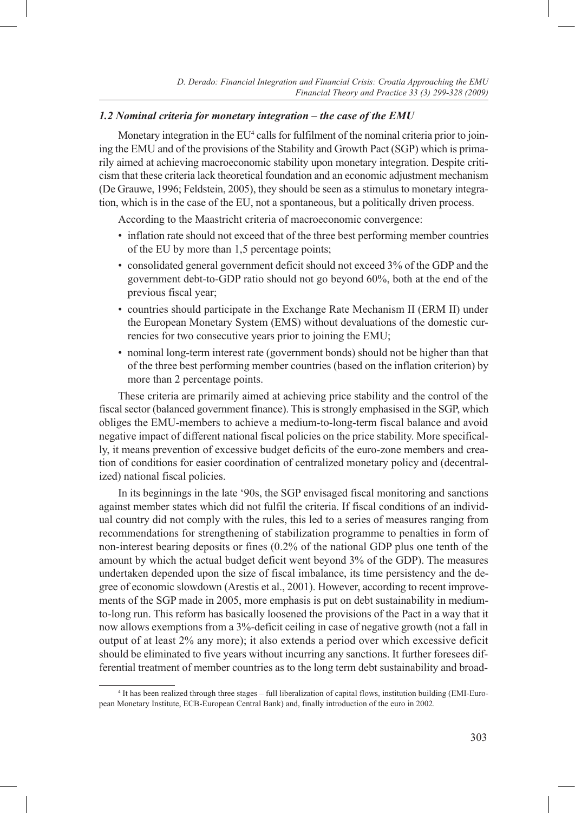## *1.2 Nominal criteria for monetary integration – the case of the EMU*

Monetary integration in the EU<sup>4</sup> calls for fulfilment of the nominal criteria prior to joining the EMU and of the provisions of the Stability and Growth Pact (SGP) which is primarily aimed at achieving macroeconomic stability upon monetary integration. Despite criticism that these criteria lack theoretical foundation and an economic adjustment mechanism (De Grauwe, 1996; Feldstein, 2005), they should be seen as a stimulus to monetary integration, which is in the case of the EU, not a spontaneous, but a politically driven process.

According to the Maastricht criteria of macroeconomic convergence:

- inflation rate should not exceed that of the three best performing member countries of the EU by more than 1,5 percentage points;
- consolidated general government deficit should not exceed 3% of the GDP and the government debt-to-GDP ratio should not go beyond 60%, both at the end of the previous fiscal year;
- • countries should participate in the Exchange Rate Mechanism II (ERM II) under the European Monetary System (EMS) without devaluations of the domestic currencies for two consecutive years prior to joining the EMU;
- • nominal long-term interest rate (government bonds) should not be higher than that of the three best performing member countries (based on the inflation criterion) by more than 2 percentage points.

These criteria are primarily aimed at achieving price stability and the control of the fiscal sector (balanced government finance). This is strongly emphasised in the SGP, which obliges the EMU-members to achieve a medium-to-long-term fiscal balance and avoid negative impact of different national fiscal policies on the price stability. More specifically, it means prevention of excessive budget deficits of the euro-zone members and creation of conditions for easier coordination of centralized monetary policy and (decentralized) national fiscal policies.

In its beginnings in the late '90s, the SGP envisaged fiscal monitoring and sanctions against member states which did not fulfil the criteria. If fiscal conditions of an individual country did not comply with the rules, this led to a series of measures ranging from recommendations for strengthening of stabilization programme to penalties in form of non-interest bearing deposits or fines (0.2% of the national GDP plus one tenth of the amount by which the actual budget deficit went beyond 3% of the GDP). The measures undertaken depended upon the size of fiscal imbalance, its time persistency and the degree of economic slowdown (Arestis et al., 2001). However, according to recent improvements of the SGP made in 2005, more emphasis is put on debt sustainability in mediumto-long run. This reform has basically loosened the provisions of the Pact in a way that it now allows exemptions from a 3%-deficit ceiling in case of negative growth (not a fall in output of at least 2% any more); it also extends a period over which excessive deficit should be eliminated to five years without incurring any sanctions. It further foresees differential treatment of member countries as to the long term debt sustainability and broad-

<sup>4</sup> It has been realized through three stages – full liberalization of capital flows, institution building (EMI-European Monetary Institute, ECB-European Central Bank) and, finally introduction of the euro in 2002.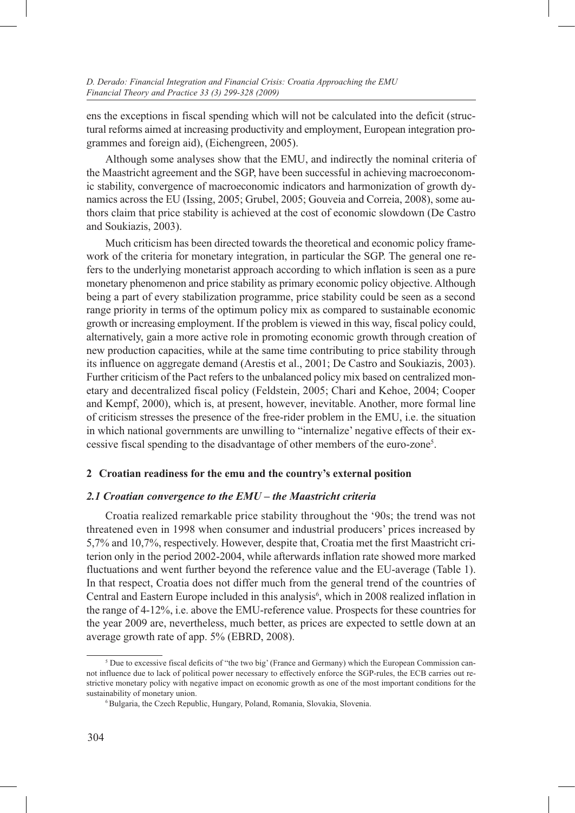ens the exceptions in fiscal spending which will not be calculated into the deficit (structural reforms aimed at increasing productivity and employment, European integration programmes and foreign aid), (Eichengreen, 2005).

Although some analyses show that the EMU, and indirectly the nominal criteria of the Maastricht agreement and the SGP, have been successful in achieving macroeconomic stability, convergence of macroeconomic indicators and harmonization of growth dynamics across the EU (Issing, 2005; Grubel, 2005; Gouveia and Correia, 2008), some authors claim that price stability is achieved at the cost of economic slowdown (De Castro and Soukiazis, 2003).

Much criticism has been directed towards the theoretical and economic policy framework of the criteria for monetary integration, in particular the SGP. The general one refers to the underlying monetarist approach according to which inflation is seen as a pure monetary phenomenon and price stability as primary economic policy objective. Although being a part of every stabilization programme, price stability could be seen as a second range priority in terms of the optimum policy mix as compared to sustainable economic growth or increasing employment. If the problem is viewed in this way, fiscal policy could, alternatively, gain a more active role in promoting economic growth through creation of new production capacities, while at the same time contributing to price stability through its influence on aggregate demand (Arestis et al., 2001; De Castro and Soukiazis, 2003). Further criticism of the Pact refers to the unbalanced policy mix based on centralized monetary and decentralized fiscal policy (Feldstein, 2005; Chari and Kehoe, 2004; Cooper and Kempf, 2000), which is, at present, however, inevitable. Another, more formal line of criticism stresses the presence of the free-rider problem in the EMU, i.e. the situation in which national governments are unwilling to "internalize' negative effects of their excessive fiscal spending to the disadvantage of other members of the euro-zone5 .

## **2 Croatian readiness for the emu and the country's external position**

## *2.1 Croatian convergence to the EMU – the Maastricht criteria*

Croatia realized remarkable price stability throughout the '90s; the trend was not threatened even in 1998 when consumer and industrial producers' prices increased by 5,7% and 10,7%, respectively. However, despite that, Croatia met the first Maastricht criterion only in the period 2002-2004, while afterwards inflation rate showed more marked fluctuations and went further beyond the reference value and the EU-average (Table 1). In that respect, Croatia does not differ much from the general trend of the countries of Central and Eastern Europe included in this analysis<sup>6</sup>, which in 2008 realized inflation in the range of 4-12%, i.e. above the EMU-reference value. Prospects for these countries for the year 2009 are, nevertheless, much better, as prices are expected to settle down at an average growth rate of app. 5% (EBRD, 2008).

<sup>&</sup>lt;sup>5</sup> Due to excessive fiscal deficits of "the two big' (France and Germany) which the European Commission cannot influence due to lack of political power necessary to effectively enforce the SGP-rules, the ECB carries out restrictive monetary policy with negative impact on economic growth as one of the most important conditions for the sustainability of monetary union.

<sup>6</sup> Bulgaria, the Czech Republic, Hungary, Poland, Romania, Slovakia, Slovenia.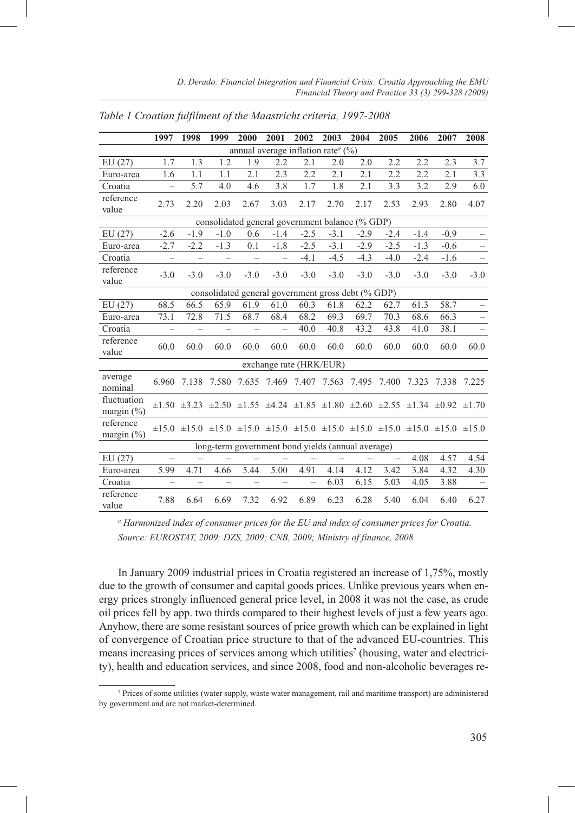|                                                    | 1997                     | 1998              | 1999                     | 2000              | 2001              | 2002                     | 2003   | 2004   | 2005                                                                                                                                | 2006   | 2007   | 2008   |
|----------------------------------------------------|--------------------------|-------------------|--------------------------|-------------------|-------------------|--------------------------|--------|--------|-------------------------------------------------------------------------------------------------------------------------------------|--------|--------|--------|
| annual average inflation rate <sup>a</sup> (%)     |                          |                   |                          |                   |                   |                          |        |        |                                                                                                                                     |        |        |        |
| EU(27)                                             | 1.7                      | 1.3               | 1.2                      | 1.9               | 2.2               | 2.1                      | 2.0    | 2.0    | 2.2                                                                                                                                 | 2.2    | 2.3    | 3.7    |
| Euro-area                                          | 1.6                      | 1.1               | 1.1                      | 2.1               | 2.3               | 2.2                      | 2.1    | 2.1    | 2.2                                                                                                                                 | 2.2    | 2.1    | 3.3    |
| Croatia                                            | $\equiv$                 | 5.7               | 4.0                      | 4.6               | 3.8               | 1.7                      | 1.8    | 2.1    | 3.3                                                                                                                                 | 3.2    | 2.9    | 6.0    |
| reference<br>value                                 | 2.73                     | 2.20              | 2.03                     | 2.67              | 3.03              | 2.17                     | 2.70   | 2.17   | 2.53                                                                                                                                | 2.93   | 2.80   | 4.07   |
| consolidated general government balance (% GDP)    |                          |                   |                          |                   |                   |                          |        |        |                                                                                                                                     |        |        |        |
| EU(27)                                             | $-2.6$                   | $-1.9$            | $-1.0$                   | 0.6               | $-1.4$            | $-2.5$                   | $-3.1$ | $-2.9$ | $-2.4$                                                                                                                              | $-1.4$ | $-0.9$ |        |
| Euro-area                                          | $-2.7$                   | $-2.2$            | $-1.3$                   | 0.1               | $-1.8$            | $-2.5$                   | $-3.1$ | $-2.9$ | $-2.5$                                                                                                                              | $-1.3$ | $-0.6$ |        |
| Croatia                                            | $\overline{\phantom{0}}$ | $\qquad \qquad -$ | $\overline{\phantom{0}}$ | $\qquad \qquad -$ | $\qquad \qquad -$ | $-4.1$                   | $-4.5$ | $-4.3$ | $-4.0$                                                                                                                              | $-2.4$ | $-1.6$ |        |
| reference<br>value                                 | $-3.0$                   | $-3.0$            | $-3.0$                   | $-3.0$            | $-3.0$            | $-3.0$                   | $-3.0$ | $-3.0$ | $-3.0$                                                                                                                              | $-3.0$ | $-3.0$ | $-3.0$ |
| consolidated general government gross debt (% GDP) |                          |                   |                          |                   |                   |                          |        |        |                                                                                                                                     |        |        |        |
| EU(27)                                             | 68.5                     | 66.5              | 65.9                     | 61.9              | 61.0              | 60.3                     | 61.8   | 62.2   | 62.7                                                                                                                                | 61.3   | 58.7   |        |
| Euro-area                                          | 73.1                     | 72.8              | 71.5                     | 68.7              | 68.4              | 68.2                     | 69.3   | 69.7   | 70.3                                                                                                                                | 68.6   | 66.3   |        |
| Croatia                                            | $\overline{\phantom{0}}$ | $\qquad \qquad -$ | -                        | $\qquad \qquad -$ | -                 | 40.0                     | 40.8   | 43.2   | 43.8                                                                                                                                | 41.0   | 38.1   | -      |
| reference<br>value                                 | 60.0                     | 60.0              | 60.0                     | 60.0              | 60.0              | 60.0                     | 60.0   | 60.0   | 60.0                                                                                                                                | 60.0   | 60.0   | 60.0   |
|                                                    |                          |                   |                          |                   |                   | exchange rate (HRK/EUR)  |        |        |                                                                                                                                     |        |        |        |
| average<br>nominal                                 | 6.960                    | 7.138 7.580       |                          |                   |                   | 7.635 7.469 7.407 7.563  |        |        | 7.495 7.400                                                                                                                         | 7.323  | 7.338  | 7.225  |
| fluctuation<br>margin $(\% )$                      |                          |                   |                          |                   |                   |                          |        |        | $\pm 1.50$ $\pm 3.23$ $\pm 2.50$ $\pm 1.55$ $\pm 4.24$ $\pm 1.85$ $\pm 1.80$ $\pm 2.60$ $\pm 2.55$ $\pm 1.34$ $\pm 0.92$ $\pm 1.70$ |        |        |        |
| reference<br>margin $(\% )$                        |                          |                   |                          |                   |                   |                          |        |        | $\pm 15.0$ $\pm 15.0$ $\pm 15.0$ $\pm 15.0$ $\pm 15.0$ $\pm 15.0$ $\pm 15.0$ $\pm 15.0$ $\pm 15.0$ $\pm 15.0$ $\pm 15.0$            |        |        |        |
| long-term government bond yields (annual average)  |                          |                   |                          |                   |                   |                          |        |        |                                                                                                                                     |        |        |        |
| EU(27)                                             | $\equiv$                 |                   |                          |                   |                   |                          |        |        | $\equiv$                                                                                                                            | 4.08   | 4.57   | 4.54   |
| Euro-area                                          | 5.99                     | 4.71              | 4.66                     | 5.44              | 5.00              | 4.91                     | 4.14   | 4.12   | 3.42                                                                                                                                | 3.84   | 4.32   | 4.30   |
| Croatia                                            | $\overline{\phantom{0}}$ | -                 | -                        | $\qquad \qquad -$ | -                 | $\overline{\phantom{0}}$ | 6.03   | 6.15   | 5.03                                                                                                                                | 4.05   | 3.88   |        |
| reference<br>value                                 | 7.88                     | 6.64              | 6.69                     | 7.32              | 6.92              | 6.89                     | 6.23   | 6.28   | 5.40                                                                                                                                | 6.04   | 6.40   | 6.27   |

*Table 1 Croatian fulfilment of the Maastricht criteria, 1997-2008*

*a Harmonized index of consumer prices for the EU and index of consumer prices for Croatia. Source: EUROSTAT, 2009; DZS, 2009; CNB, 2009; Ministry of finance, 2008.*

In January 2009 industrial prices in Croatia registered an increase of 1,75%, mostly due to the growth of consumer and capital goods prices. Unlike previous years when energy prices strongly influenced general price level, in 2008 it was not the case, as crude oil prices fell by app. two thirds compared to their highest levels of just a few years ago. Anyhow, there are some resistant sources of price growth which can be explained in light of convergence of Croatian price structure to that of the advanced EU-countries. This means increasing prices of services among which utilities<sup>7</sup> (housing, water and electricity), health and education services, and since 2008, food and non-alcoholic beverages re-

<sup>7</sup> Prices of some utilities (water supply, waste water management, rail and maritime transport) are administered by government and are not market-determined.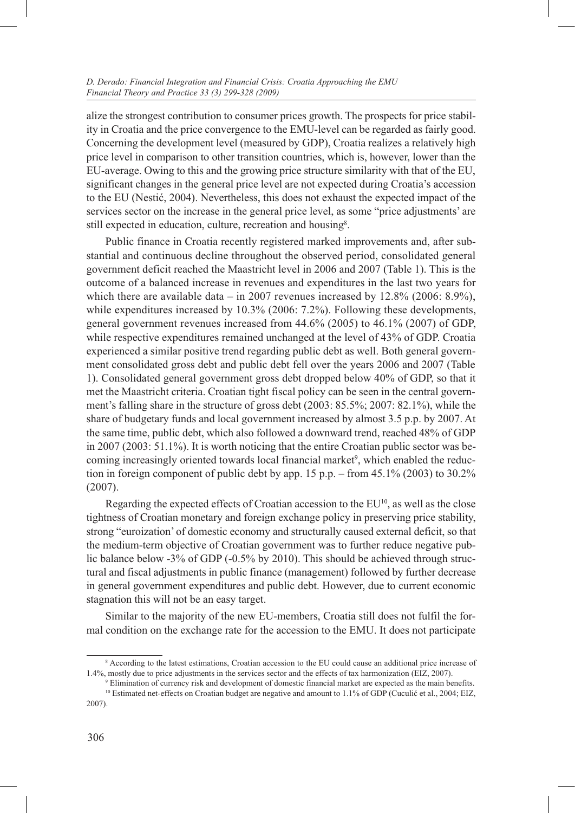alize the strongest contribution to consumer prices growth. The prospects for price stability in Croatia and the price convergence to the EMU-level can be regarded as fairly good. Concerning the development level (measured by GDP), Croatia realizes a relatively high price level in comparison to other transition countries, which is, however, lower than the EU-average. Owing to this and the growing price structure similarity with that of the EU, significant changes in the general price level are not expected during Croatia's accession to the EU (Nestić, 2004). Nevertheless, this does not exhaust the expected impact of the services sector on the increase in the general price level, as some "price adjustments' are still expected in education, culture, recreation and housing<sup>8</sup>.

Public finance in Croatia recently registered marked improvements and, after substantial and continuous decline throughout the observed period, consolidated general government deficit reached the Maastricht level in 2006 and 2007 (Table 1). This is the outcome of a balanced increase in revenues and expenditures in the last two years for which there are available data – in 2007 revenues increased by  $12.8\%$  (2006: 8.9%), while expenditures increased by 10.3% (2006: 7.2%). Following these developments, general government revenues increased from 44.6% (2005) to 46.1% (2007) of GDP, while respective expenditures remained unchanged at the level of 43% of GDP. Croatia experienced a similar positive trend regarding public debt as well. Both general government consolidated gross debt and public debt fell over the years 2006 and 2007 (Table 1). Consolidated general government gross debt dropped below 40% of GDP, so that it met the Maastricht criteria. Croatian tight fiscal policy can be seen in the central government's falling share in the structure of gross debt (2003: 85.5%; 2007: 82.1%), while the share of budgetary funds and local government increased by almost 3.5 p.p. by 2007. At the same time, public debt, which also followed a downward trend, reached 48% of GDP in 2007 (2003: 51.1%). It is worth noticing that the entire Croatian public sector was becoming increasingly oriented towards local financial market<sup>9</sup>, which enabled the reduction in foreign component of public debt by app. 15 p.p. – from 45.1% (2003) to 30.2% (2007).

Regarding the expected effects of Croatian accession to the  $EU^{10}$ , as well as the close tightness of Croatian monetary and foreign exchange policy in preserving price stability, strong "euroization' of domestic economy and structurally caused external deficit, so that the medium-term objective of Croatian government was to further reduce negative public balance below -3% of GDP (-0.5% by 2010). This should be achieved through structural and fiscal adjustments in public finance (management) followed by further decrease in general government expenditures and public debt. However, due to current economic stagnation this will not be an easy target.

Similar to the majority of the new EU-members, Croatia still does not fulfil the formal condition on the exchange rate for the accession to the EMU. It does not participate

<sup>8</sup> According to the latest estimations, Croatian accession to the EU could cause an additional price increase of 1.4%, mostly due to price adjustments in the services sector and the effects of tax harmonization (EIZ, 2007).

<sup>9</sup> Elimination of currency risk and development of domestic financial market are expected as the main benefits.

<sup>10</sup> Estimated net-effects on Croatian budget are negative and amount to 1.1% of GDP (Cuculić et al., 2004; EIZ, 2007).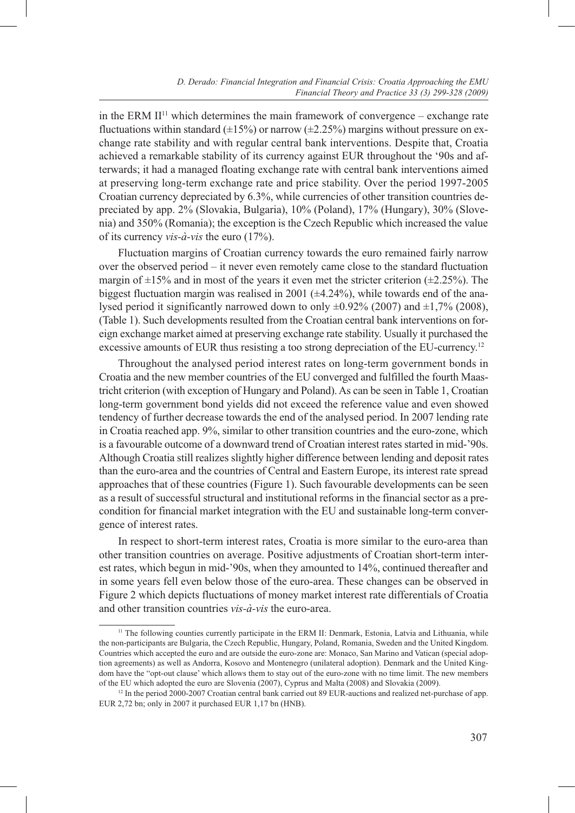in the ERM  $II<sup>11</sup>$  which determines the main framework of convergence – exchange rate fluctuations within standard ( $\pm 15\%$ ) or narrow ( $\pm 2.25\%$ ) margins without pressure on exchange rate stability and with regular central bank interventions. Despite that, Croatia achieved a remarkable stability of its currency against EUR throughout the '90s and afterwards; it had a managed floating exchange rate with central bank interventions aimed at preserving long-term exchange rate and price stability. Over the period 1997-2005 Croatian currency depreciated by 6.3%, while currencies of other transition countries depreciated by app. 2% (Slovakia, Bulgaria), 10% (Poland), 17% (Hungary), 30% (Slovenia) and 350% (Romania); the exception is the Czech Republic which increased the value of its currency *vis-à-vis* the euro (17%).

Fluctuation margins of Croatian currency towards the euro remained fairly narrow over the observed period – it never even remotely came close to the standard fluctuation margin of  $\pm 15\%$  and in most of the years it even met the stricter criterion ( $\pm 2.25\%$ ). The biggest fluctuation margin was realised in 2001  $(\pm 4.24\%)$ , while towards end of the analysed period it significantly narrowed down to only  $\pm 0.92\%$  (2007) and  $\pm 1.7\%$  (2008), (Table 1). Such developments resulted from the Croatian central bank interventions on foreign exchange market aimed at preserving exchange rate stability. Usually it purchased the excessive amounts of EUR thus resisting a too strong depreciation of the EU-currency.<sup>12</sup>

Throughout the analysed period interest rates on long-term government bonds in Croatia and the new member countries of the EU converged and fulfilled the fourth Maastricht criterion (with exception of Hungary and Poland). As can be seen in Table 1, Croatian long-term government bond yields did not exceed the reference value and even showed tendency of further decrease towards the end of the analysed period. In 2007 lending rate in Croatia reached app. 9%, similar to other transition countries and the euro-zone, which is a favourable outcome of a downward trend of Croatian interest rates started in mid-'90s. Although Croatia still realizes slightly higher difference between lending and deposit rates than the euro-area and the countries of Central and Eastern Europe, its interest rate spread approaches that of these countries (Figure 1). Such favourable developments can be seen as a result of successful structural and institutional reforms in the financial sector as a precondition for financial market integration with the EU and sustainable long-term convergence of interest rates.

In respect to short-term interest rates, Croatia is more similar to the euro-area than other transition countries on average. Positive adjustments of Croatian short-term interest rates, which begun in mid-'90s, when they amounted to 14%, continued thereafter and in some years fell even below those of the euro-area. These changes can be observed in Figure 2 which depicts fluctuations of money market interest rate differentials of Croatia and other transition countries *vis-à-vis* the euro-area.

<sup>&</sup>lt;sup>11</sup> The following counties currently participate in the ERM II: Denmark, Estonia, Latvia and Lithuania, while the non-participants are Bulgaria, the Czech Republic, Hungary, Poland, Romania, Sweden and the United Kingdom. Countries which accepted the euro and are outside the euro-zone are: Monaco, San Marino and Vatican (special adoption agreements) as well as Andorra, Kosovo and Montenegro (unilateral adoption). Denmark and the United Kingdom have the "opt-out clause' which allows them to stay out of the euro-zone with no time limit. The new members of the EU which adopted the euro are Slovenia (2007), Cyprus and Malta (2008) and Slovakia (2009).

<sup>&</sup>lt;sup>12</sup> In the period 2000-2007 Croatian central bank carried out 89 EUR-auctions and realized net-purchase of app. EUR 2,72 bn; only in 2007 it purchased EUR 1,17 bn (HNB).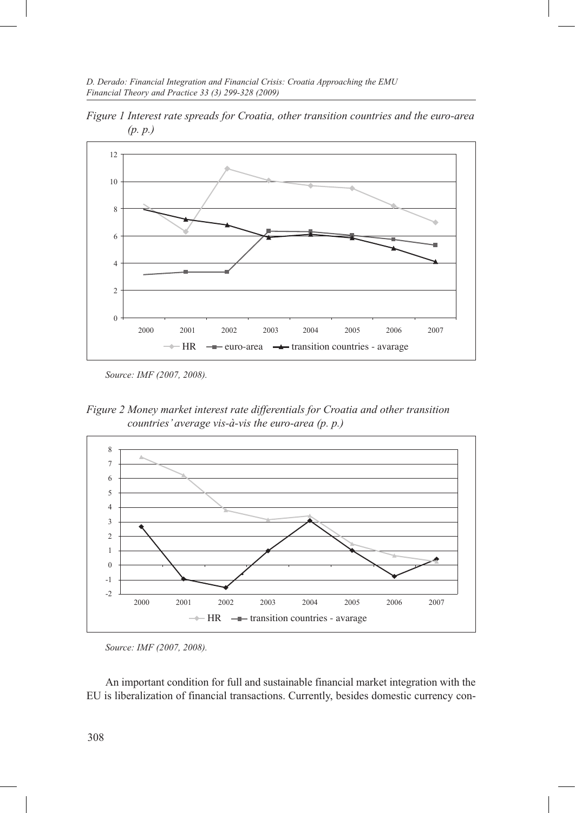*D. Derado: Financial Integration and Financial Crisis: Croatia Approaching the EMU Financial Theory and Practice 33 (3) 299-328 (2009)*



*Figure 1 Interest rate spreads for Croatia, other transition countries and the euro-area (p. p.)* 

*Source: IMF (2007, 2008).*

*Figure 2 Money market interest rate differentials for Croatia and other transition countries' average vis-à-vis the euro-area (p. p.)*



*Source: IMF (2007, 2008).*

An important condition for full and sustainable financial market integration with the EU is liberalization of financial transactions. Currently, besides domestic currency con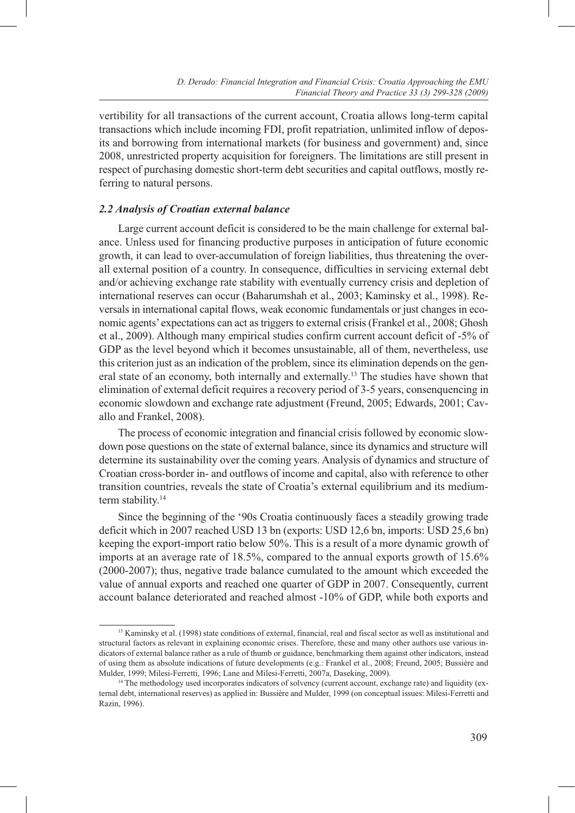vertibility for all transactions of the current account, Croatia allows long-term capital transactions which include incoming FDI, profit repatriation, unlimited inflow of deposits and borrowing from international markets (for business and government) and, since 2008, unrestricted property acquisition for foreigners. The limitations are still present in respect of purchasing domestic short-term debt securities and capital outflows, mostly referring to natural persons.

# *2.2 Analysis of Croatian external balance*

Large current account deficit is considered to be the main challenge for external balance. Unless used for financing productive purposes in anticipation of future economic growth, it can lead to over-accumulation of foreign liabilities, thus threatening the overall external position of a country. In consequence, difficulties in servicing external debt and/or achieving exchange rate stability with eventually currency crisis and depletion of international reserves can occur (Baharumshah et al., 2003; Kaminsky et al., 1998). Reversals in international capital flows, weak economic fundamentals or just changes in economic agents' expectations can act as triggers to external crisis (Frankel et al., 2008; Ghosh et al., 2009). Although many empirical studies confirm current account deficit of -5% of GDP as the level beyond which it becomes unsustainable, all of them, nevertheless, use this criterion just as an indication of the problem, since its elimination depends on the general state of an economy, both internally and externally.13 The studies have shown that elimination of external deficit requires a recovery period of 3-5 years, consenquencing in economic slowdown and exchange rate adjustment (Freund, 2005; Edwards, 2001; Cavallo and Frankel, 2008).

The process of economic integration and financial crisis followed by economic slowdown pose questions on the state of external balance, since its dynamics and structure will determine its sustainability over the coming years. Analysis of dynamics and structure of Croatian cross-border in- and outflows of income and capital, also with reference to other transition countries, reveals the state of Croatia's external equilibrium and its mediumterm stability.<sup>14</sup>

Since the beginning of the '90s Croatia continuously faces a steadily growing trade deficit which in 2007 reached USD 13 bn (exports: USD 12,6 bn, imports: USD 25,6 bn) keeping the export-import ratio below 50%. This is a result of a more dynamic growth of imports at an average rate of 18.5%, compared to the annual exports growth of 15.6% (2000-2007); thus, negative trade balance cumulated to the amount which exceeded the value of annual exports and reached one quarter of GDP in 2007. Consequently, current account balance deteriorated and reached almost -10% of GDP, while both exports and

<sup>&</sup>lt;sup>13</sup> Kaminsky et al. (1998) state conditions of external, financial, real and fiscal sector as well as institutional and structural factors as relevant in explaining economic crises. Therefore, these and many other authors use various indicators of external balance rather as a rule of thumb or guidance, benchmarking them against other indicators, instead of using them as absolute indications of future developments (e.g.: Frankel et al., 2008; Freund, 2005; Bussière and Mulder, 1999; Milesi-Ferretti, 1996; Lane and Milesi-Ferretti, 2007a, Daseking, 2009).

<sup>&</sup>lt;sup>14</sup> The methodology used incorporates indicators of solvency (current account, exchange rate) and liquidity (external debt, international reserves) as applied in: Bussière and Mulder, 1999 (on conceptual issues: Milesi-Ferretti and Razin, 1996).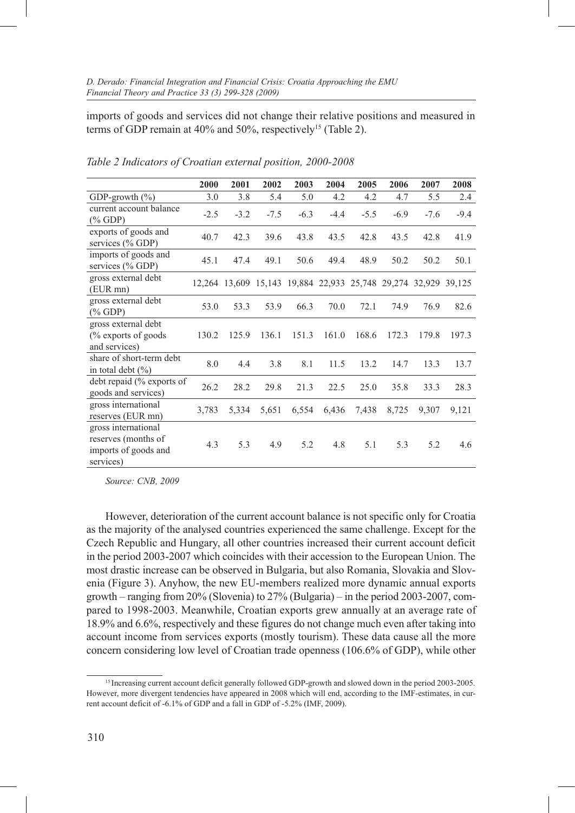imports of goods and services did not change their relative positions and measured in terms of GDP remain at  $40\%$  and  $50\%$ , respectively<sup>15</sup> (Table 2).

|                                                                                 | 2000   | 2001                                                    | 2002   | 2003   | 2004   | 2005   | 2006   | 2007   | 2008   |
|---------------------------------------------------------------------------------|--------|---------------------------------------------------------|--------|--------|--------|--------|--------|--------|--------|
| GDP-growth $(\% )$                                                              | 3.0    | 3.8                                                     | 5.4    | 5.0    | 4.2    | 4.2    | 4.7    | 5.5    | 2.4    |
| current account balance<br>$(\%$ GDP)                                           | $-2.5$ | $-3.2$                                                  | $-7.5$ | $-6.3$ | $-4.4$ | $-5.5$ | $-6.9$ | $-7.6$ | $-9.4$ |
| exports of goods and<br>services $(\%$ GDP)                                     | 40.7   | 42.3                                                    | 39.6   | 43.8   | 43.5   | 42.8   | 43.5   | 42.8   | 41.9   |
| imports of goods and<br>services $(\%$ GDP)                                     | 45.1   | 47.4                                                    | 49.1   | 50.6   | 49.4   | 48.9   | 50.2   | 50.2   | 50.1   |
| gross external debt<br>$(EUR$ mn $)$                                            |        | 12,264 13,609 15,143 19,884 22,933 25,748 29,274 32,929 |        |        |        |        |        |        | 39,125 |
| gross external debt<br>$(\%$ GDP)                                               | 53.0   | 53.3                                                    | 53.9   | 66.3   | 70.0   | 72.1   | 74.9   | 76.9   | 82.6   |
| gross external debt<br>$\frac{6}{6}$ exports of goods<br>and services)          | 130.2  | 125.9                                                   | 136.1  | 151.3  | 161.0  | 168.6  | 172.3  | 179.8  | 197.3  |
| share of short-term debt<br>in total debt $(\% )$                               | 8.0    | 4.4                                                     | 3.8    | 8.1    | 11.5   | 13.2   | 14.7   | 13.3   | 13.7   |
| debt repaid $\frac{6}{6}$ exports of<br>goods and services)                     | 26.2   | 28.2                                                    | 29.8   | 21.3   | 22.5   | 25.0   | 35.8   | 33.3   | 28.3   |
| gross international<br>reserves (EUR mn)                                        | 3,783  | 5,334                                                   | 5,651  | 6,554  | 6,436  | 7,438  | 8,725  | 9.307  | 9,121  |
| gross international<br>reserves (months of<br>imports of goods and<br>services) | 4.3    | 5.3                                                     | 4.9    | 5.2    | 4.8    | 5.1    | 5.3    | 5.2    | 4.6    |

*Table 2 Indicators of Croatian external position, 2000-2008*

*Source: CNB, 2009*

However, deterioration of the current account balance is not specific only for Croatia as the majority of the analysed countries experienced the same challenge. Except for the Czech Republic and Hungary, all other countries increased their current account deficit in the period 2003-2007 which coincides with their accession to the European Union. The most drastic increase can be observed in Bulgaria, but also Romania, Slovakia and Slovenia (Figure 3). Anyhow, the new EU-members realized more dynamic annual exports growth – ranging from 20% (Slovenia) to 27% (Bulgaria) – in the period 2003-2007, compared to 1998-2003. Meanwhile, Croatian exports grew annually at an average rate of 18.9% and 6.6%, respectively and these figures do not change much even after taking into account income from services exports (mostly tourism). These data cause all the more concern considering low level of Croatian trade openness (106.6% of GDP), while other

<sup>&</sup>lt;sup>15</sup> Increasing current account deficit generally followed GDP-growth and slowed down in the period 2003-2005. However, more divergent tendencies have appeared in 2008 which will end, according to the IMF-estimates, in current account deficit of -6.1% of GDP and a fall in GDP of -5.2% (IMF, 2009).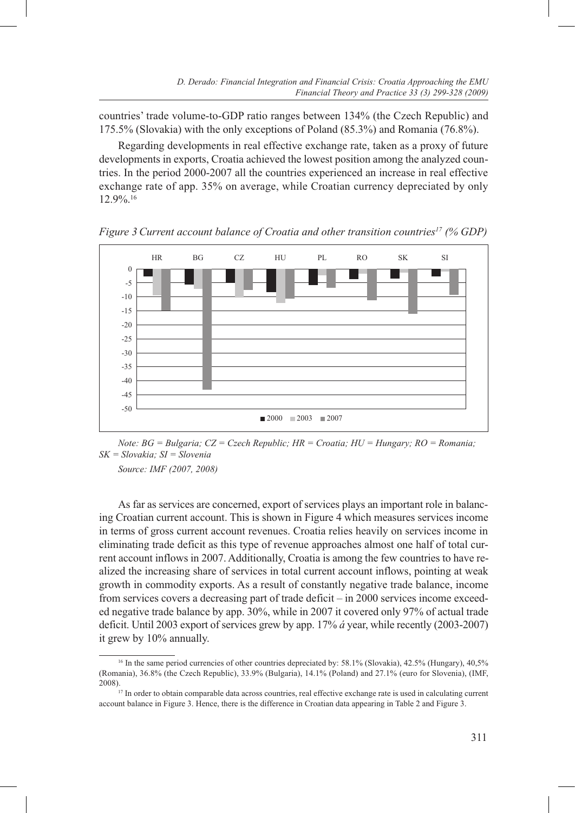countries' trade volume-to-GDP ratio ranges between 134% (the Czech Republic) and 175.5% (Slovakia) with the only exceptions of Poland (85.3%) and Romania (76.8%).

Regarding developments in real effective exchange rate, taken as a proxy of future developments in exports, Croatia achieved the lowest position among the analyzed countries. In the period 2000-2007 all the countries experienced an increase in real effective exchange rate of app. 35% on average, while Croatian currency depreciated by only 12.9%.16



*Figure 3 Current account balance of Croatia and other transition countries17 (% GDP)*

*Note: BG = Bulgaria; CZ = Czech Republic; HR = Croatia; HU = Hungary; RO = Romania; SK = Slovakia; SI = Slovenia*

*Source: IMF (2007, 2008)*

As far as services are concerned, export of services plays an important role in balancing Croatian current account. This is shown in Figure 4 which measures services income in terms of gross current account revenues. Croatia relies heavily on services income in eliminating trade deficit as this type of revenue approaches almost one half of total current account inflows in 2007. Additionally, Croatia is among the few countries to have realized the increasing share of services in total current account inflows, pointing at weak growth in commodity exports. As a result of constantly negative trade balance, income from services covers a decreasing part of trade deficit – in 2000 services income exceeded negative trade balance by app. 30%, while in 2007 it covered only 97% of actual trade deficit. Until 2003 export of services grew by app. 17% *á* year, while recently (2003-2007) it grew by 10% annually.

<sup>16</sup> In the same period currencies of other countries depreciated by: 58.1% (Slovakia), 42.5% (Hungary), 40,5% (Romania), 36.8% (the Czech Republic), 33.9% (Bulgaria), 14.1% (Poland) and 27.1% (euro for Slovenia), (IMF, 2008).17 In order to obtain comparable data across countries, real effective exchange rate is used in calculating current

account balance in Figure 3. Hence, there is the difference in Croatian data appearing in Table 2 and Figure 3.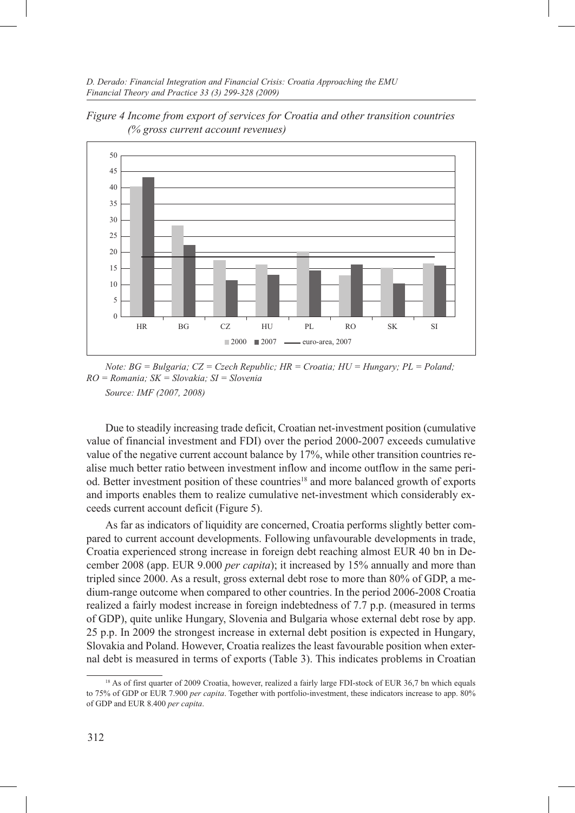

*Figure 4 Income from export of services for Croatia and other transition countries (% gross current account revenues)*

*Note: BG = Bulgaria; CZ = Czech Republic; HR = Croatia; HU = Hungary; PL = Poland; RO = Romania; SK = Slovakia; SI = Slovenia Source: IMF (2007, 2008)*

Due to steadily increasing trade deficit, Croatian net-investment position (cumulative value of financial investment and FDI) over the period 2000-2007 exceeds cumulative value of the negative current account balance by 17%, while other transition countries realise much better ratio between investment inflow and income outflow in the same period. Better investment position of these countries<sup>18</sup> and more balanced growth of exports and imports enables them to realize cumulative net-investment which considerably exceeds current account deficit (Figure 5).

As far as indicators of liquidity are concerned, Croatia performs slightly better compared to current account developments. Following unfavourable developments in trade, Croatia experienced strong increase in foreign debt reaching almost EUR 40 bn in December 2008 (app. EUR 9.000 *per capita*); it increased by 15% annually and more than tripled since 2000. As a result, gross external debt rose to more than 80% of GDP, a medium-range outcome when compared to other countries. In the period 2006-2008 Croatia realized a fairly modest increase in foreign indebtedness of 7.7 p.p. (measured in terms of GDP), quite unlike Hungary, Slovenia and Bulgaria whose external debt rose by app. 25 p.p. In 2009 the strongest increase in external debt position is expected in Hungary, Slovakia and Poland. However, Croatia realizes the least favourable position when external debt is measured in terms of exports (Table 3). This indicates problems in Croatian

<sup>&</sup>lt;sup>18</sup> As of first quarter of 2009 Croatia, however, realized a fairly large FDI-stock of EUR 36,7 bn which equals to 75% of GDP or EUR 7.900 *per capita*. Together with portfolio-investment, these indicators increase to app. 80% of GDP and EUR 8.400 *per capita*.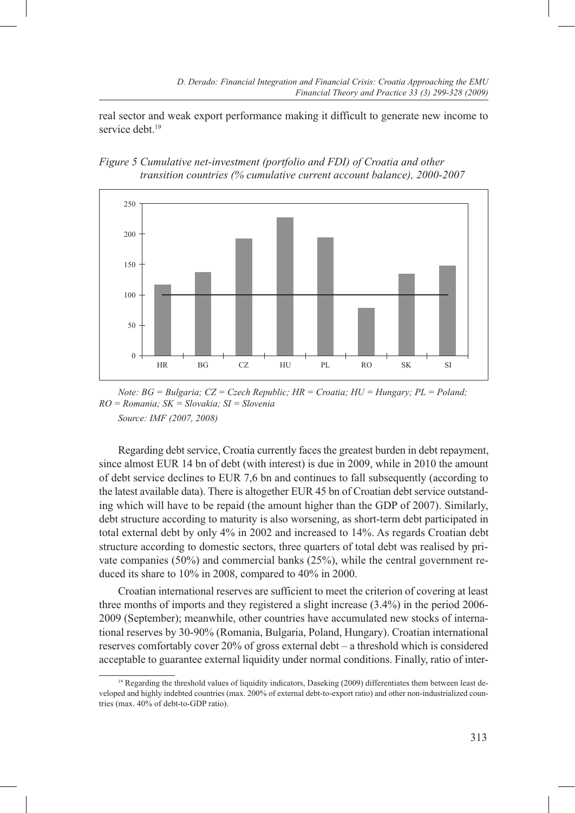real sector and weak export performance making it difficult to generate new income to service debt.<sup>19</sup>





*Note: BG = Bulgaria; CZ = Czech Republic; HR = Croatia; HU = Hungary; PL = Poland; RO = Romania; SK = Slovakia; SI = Slovenia Source: IMF (2007, 2008)*

Regarding debt service, Croatia currently faces the greatest burden in debt repayment, since almost EUR 14 bn of debt (with interest) is due in 2009, while in 2010 the amount of debt service declines to EUR 7,6 bn and continues to fall subsequently (according to the latest available data). There is altogether EUR 45 bn of Croatian debt service outstanding which will have to be repaid (the amount higher than the GDP of 2007). Similarly, debt structure according to maturity is also worsening, as short-term debt participated in total external debt by only 4% in 2002 and increased to 14%. As regards Croatian debt structure according to domestic sectors, three quarters of total debt was realised by private companies (50%) and commercial banks (25%), while the central government reduced its share to 10% in 2008, compared to 40% in 2000.

Croatian international reserves are sufficient to meet the criterion of covering at least three months of imports and they registered a slight increase (3.4%) in the period 2006- 2009 (September); meanwhile, other countries have accumulated new stocks of international reserves by 30-90% (Romania, Bulgaria, Poland, Hungary). Croatian international reserves comfortably cover 20% of gross external debt – a threshold which is considered acceptable to guarantee external liquidity under normal conditions. Finally, ratio of inter-

<sup>&</sup>lt;sup>19</sup> Regarding the threshold values of liquidity indicators, Daseking (2009) differentiates them between least developed and highly indebted countries (max. 200% of external debt-to-export ratio) and other non-industrialized countries (max. 40% of debt-to-GDP ratio).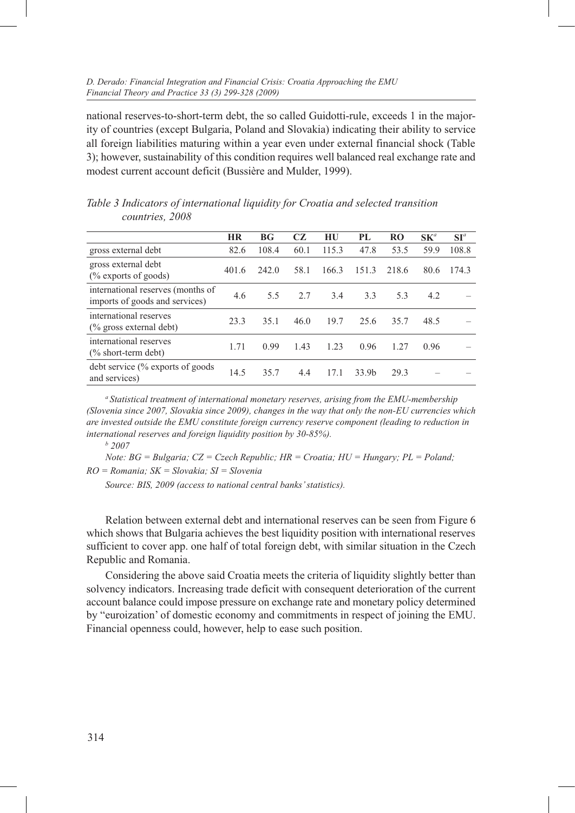national reserves-to-short-term debt, the so called Guidotti-rule, exceeds 1 in the majority of countries (except Bulgaria, Poland and Slovakia) indicating their ability to service all foreign liabilities maturing within a year even under external financial shock (Table 3); however, sustainability of this condition requires well balanced real exchange rate and modest current account deficit (Bussière and Mulder, 1999).

|                                                                     | <b>HR</b> | BG <sub>r</sub> | CZ   | HU    | PL                | RO.   | $\mathbf{S}\mathbf{K}^a$ | $SI^a$ |
|---------------------------------------------------------------------|-----------|-----------------|------|-------|-------------------|-------|--------------------------|--------|
| gross external debt                                                 | 82.6      | 108.4           | 60.1 | 115.3 | 47.8              | 53.5  | 59.9                     | 108.8  |
| gross external debt<br>$\frac{9}{6}$ exports of goods)              | 401.6     | 242.0           | 58.1 | 166.3 | 151.3             | 218.6 | 80.6                     | 174.3  |
| international reserves (months of<br>imports of goods and services) | 4.6       | 5.5             | 2.7  | 3.4   | 3.3               | 5.3   | 4.2                      |        |
| international reserves<br>$\frac{6}{6}$ gross external debt)        | 23.3      | 35.1            | 46.0 | 19.7  | 25.6              | 35.7  | 48.5                     |        |
| international reserves<br>$\frac{1}{2}$ short-term debt)            | 1.71      | 0.99            | 1.43 | 1.23  | 0.96              | 1.27  | 0.96                     |        |
| debt service (% exports of goods)<br>and services)                  | 14.5      | 35.7            | 4.4  | 17.1  | 33.9 <sub>b</sub> | 29.3  |                          |        |

*Table 3 Indicators of international liquidity for Croatia and selected transition countries, 2008*

*<sup>a</sup> Statistical treatment of international monetary reserves, arising from the EMU-membership (Slovenia since 2007, Slovakia since 2009), changes in the way that only the non-EU currencies which are invested outside the EMU constitute foreign currency reserve component (leading to reduction in international reserves and foreign liquidity position by 30-85%).* 

 *2007*

*Note: BG = Bulgaria; CZ = Czech Republic; HR = Croatia; HU = Hungary; PL = Poland; RO = Romania; SK = Slovakia; SI = Slovenia*

*Source: BIS, 2009 (access to national central banks' statistics).*

Relation between external debt and international reserves can be seen from Figure 6 which shows that Bulgaria achieves the best liquidity position with international reserves sufficient to cover app. one half of total foreign debt, with similar situation in the Czech Republic and Romania.

Considering the above said Croatia meets the criteria of liquidity slightly better than solvency indicators. Increasing trade deficit with consequent deterioration of the current account balance could impose pressure on exchange rate and monetary policy determined by "euroization' of domestic economy and commitments in respect of joining the EMU. Financial openness could, however, help to ease such position.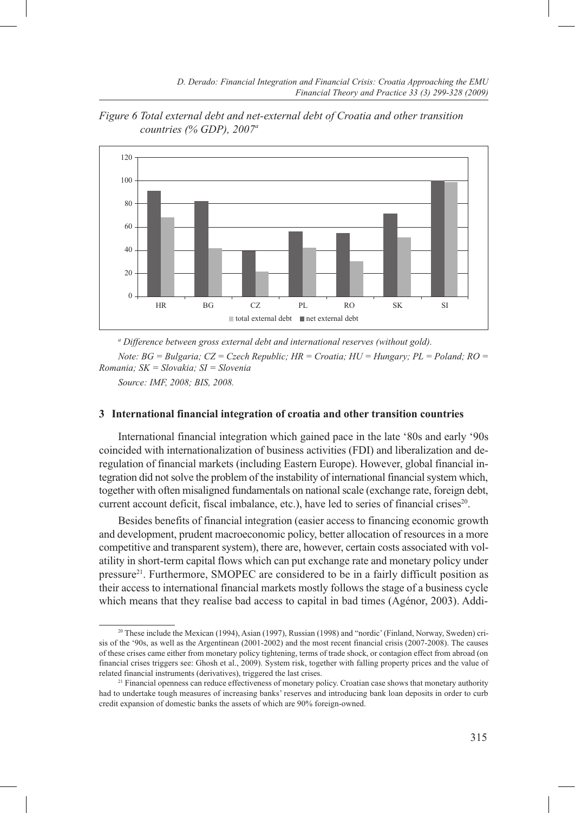

*Figure 6 Total external debt and net-external debt of Croatia and other transition countries (% GDP), 2007a*

*<sup>a</sup> Difference between gross external debt and international reserves (without gold).*

*Note: BG = Bulgaria; CZ = Czech Republic; HR = Croatia; HU = Hungary; PL = Poland; RO = Romania; SK = Slovakia; SI = Slovenia* 

*Source: IMF, 2008; BIS, 2008.*

## **3 International financial integration of croatia and other transition countries**

International financial integration which gained pace in the late '80s and early '90s coincided with internationalization of business activities (FDI) and liberalization and deregulation of financial markets (including Eastern Europe). However, global financial integration did not solve the problem of the instability of international financial system which, together with often misaligned fundamentals on national scale (exchange rate, foreign debt, current account deficit, fiscal imbalance, etc.), have led to series of financial crises<sup>20</sup>.

Besides benefits of financial integration (easier access to financing economic growth and development, prudent macroeconomic policy, better allocation of resources in a more competitive and transparent system), there are, however, certain costs associated with volatility in short-term capital flows which can put exchange rate and monetary policy under pressure21. Furthermore, SMOPEC are considered to be in a fairly difficult position as their access to international financial markets mostly follows the stage of a business cycle which means that they realise bad access to capital in bad times (Agénor, 2003). Addi-

<sup>20</sup> These include the Mexican (1994), Asian (1997), Russian (1998) and "nordic' (Finland, Norway, Sweden) crisis of the '90s, as well as the Argentinean (2001-2002) and the most recent financial crisis (2007-2008). The causes of these crises came either from monetary policy tightening, terms of trade shock, or contagion effect from abroad (on financial crises triggers see: Ghosh et al., 2009). System risk, together with falling property prices and the value of related financial instruments (derivatives), triggered the last crises.

<sup>&</sup>lt;sup>21</sup> Financial openness can reduce effectiveness of monetary policy. Croatian case shows that monetary authority had to undertake tough measures of increasing banks' reserves and introducing bank loan deposits in order to curb credit expansion of domestic banks the assets of which are 90% foreign-owned.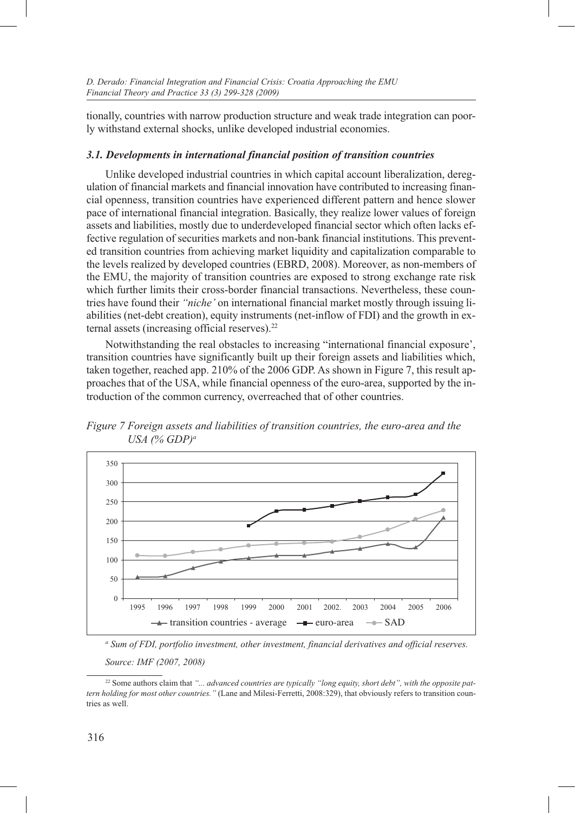tionally, countries with narrow production structure and weak trade integration can poorly withstand external shocks, unlike developed industrial economies.

## *3.1. Developments in international financial position of transition countries*

Unlike developed industrial countries in which capital account liberalization, deregulation of financial markets and financial innovation have contributed to increasing financial openness, transition countries have experienced different pattern and hence slower pace of international financial integration. Basically, they realize lower values of foreign assets and liabilities, mostly due to underdeveloped financial sector which often lacks effective regulation of securities markets and non-bank financial institutions. This prevented transition countries from achieving market liquidity and capitalization comparable to the levels realized by developed countries (EBRD, 2008). Moreover, as non-members of the EMU, the majority of transition countries are exposed to strong exchange rate risk which further limits their cross-border financial transactions. Nevertheless, these countries have found their *"niche'* on international financial market mostly through issuing liabilities (net-debt creation), equity instruments (net-inflow of FDI) and the growth in external assets (increasing official reserves).<sup>22</sup>

Notwithstanding the real obstacles to increasing "international financial exposure', transition countries have significantly built up their foreign assets and liabilities which, taken together, reached app. 210% of the 2006 GDP. As shown in Figure 7, this result approaches that of the USA, while financial openness of the euro-area, supported by the introduction of the common currency, overreached that of other countries.

*Figure 7 Foreign assets and liabilities of transition countries, the euro-area and the USA (% GDP)a*



*<sup>a</sup> Sum of FDI, portfolio investment, other investment, financial derivatives and official reserves.*

*Source: IMF (2007, 2008)*

<sup>&</sup>lt;sup>22</sup> Some authors claim that "... advanced countries are typically "long equity, short debt", with the opposite pat*tern holding for most other countries."* (Lane and Milesi-Ferretti, 2008:329), that obviously refers to transition countries as well.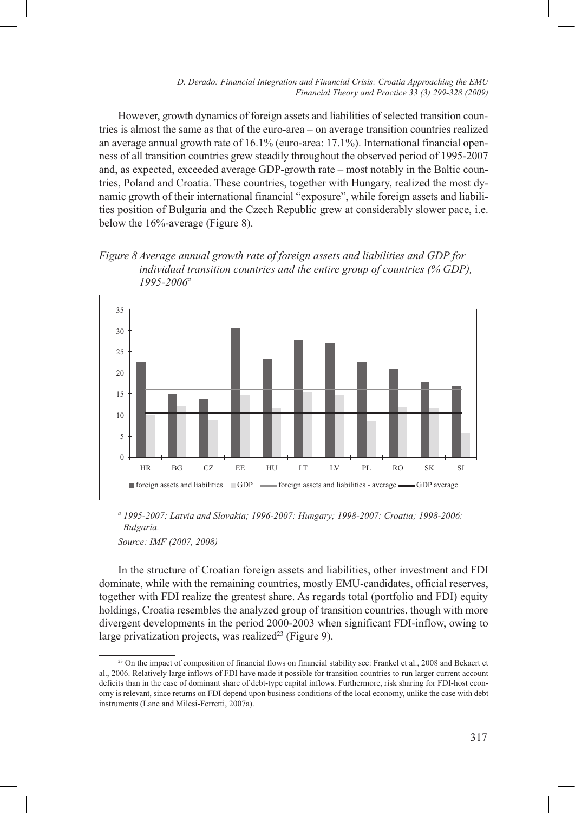However, growth dynamics of foreign assets and liabilities of selected transition countries is almost the same as that of the euro-area – on average transition countries realized an average annual growth rate of 16.1% (euro-area: 17.1%). International financial openness of all transition countries grew steadily throughout the observed period of 1995-2007 and, as expected, exceeded average GDP-growth rate – most notably in the Baltic countries, Poland and Croatia. These countries, together with Hungary, realized the most dynamic growth of their international financial "exposure", while foreign assets and liabilities position of Bulgaria and the Czech Republic grew at considerably slower pace, i.e. below the 16%-average (Figure 8).

*Figure 8 Average annual growth rate of foreign assets and liabilities and GDP for individual transition countries and the entire group of countries (% GDP), 1995-2006a*



*<sup>a</sup> 1995-2007: Latvia and Slovakia; 1996-2007: Hungary; 1998-2007: Croatia; 1998-2006: Bulgaria.*

*Source: IMF (2007, 2008)*

In the structure of Croatian foreign assets and liabilities, other investment and FDI dominate, while with the remaining countries, mostly EMU-candidates, official reserves, together with FDI realize the greatest share. As regards total (portfolio and FDI) equity holdings, Croatia resembles the analyzed group of transition countries, though with more divergent developments in the period 2000-2003 when significant FDI-inflow, owing to large privatization projects, was realized<sup>23</sup> (Figure 9).

<sup>&</sup>lt;sup>23</sup> On the impact of composition of financial flows on financial stability see: Frankel et al., 2008 and Bekaert et al., 2006. Relatively large inflows of FDI have made it possible for transition countries to run larger current account deficits than in the case of dominant share of debt-type capital inflows. Furthermore, risk sharing for FDI-host economy is relevant, since returns on FDI depend upon business conditions of the local economy, unlike the case with debt instruments (Lane and Milesi-Ferretti, 2007a).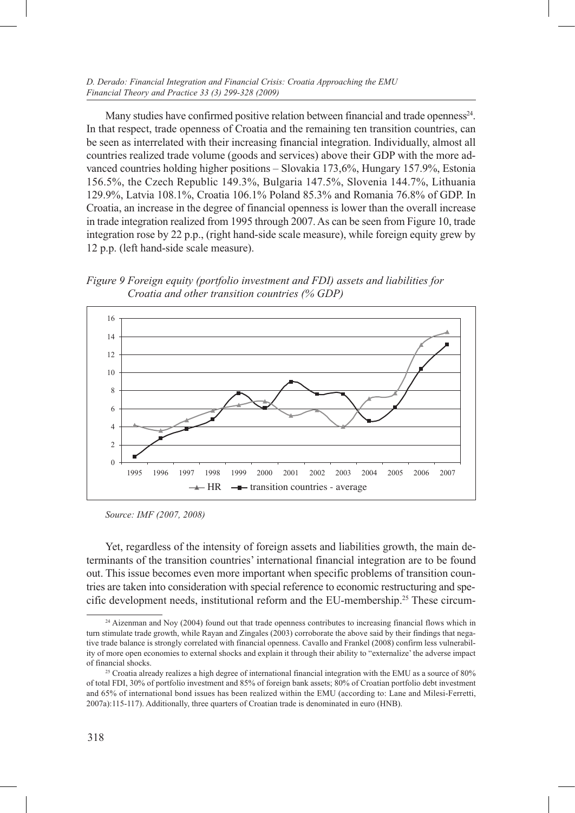Many studies have confirmed positive relation between financial and trade openness $24$ . In that respect, trade openness of Croatia and the remaining ten transition countries, can be seen as interrelated with their increasing financial integration. Individually, almost all countries realized trade volume (goods and services) above their GDP with the more advanced countries holding higher positions – Slovakia 173,6%, Hungary 157.9%, Estonia 156.5%, the Czech Republic 149.3%, Bulgaria 147.5%, Slovenia 144.7%, Lithuania 129.9%, Latvia 108.1%, Croatia 106.1% Poland 85.3% and Romania 76.8% of GDP. In Croatia, an increase in the degree of financial openness is lower than the overall increase in trade integration realized from 1995 through 2007. As can be seen from Figure 10, trade integration rose by 22 p.p., (right hand-side scale measure), while foreign equity grew by 12 p.p. (left hand-side scale measure).

*Figure 9 Foreign equity (portfolio investment and FDI) assets and liabilities for Croatia and other transition countries (% GDP)*



*Source: IMF (2007, 2008)*

Yet, regardless of the intensity of foreign assets and liabilities growth, the main determinants of the transition countries' international financial integration are to be found out. This issue becomes even more important when specific problems of transition countries are taken into consideration with special reference to economic restructuring and specific development needs, institutional reform and the EU-membership.25 These circum-

<sup>&</sup>lt;sup>24</sup> Aizenman and Noy (2004) found out that trade openness contributes to increasing financial flows which in turn stimulate trade growth, while Rayan and Zingales (2003) corroborate the above said by their findings that negative trade balance is strongly correlated with financial openness. Cavallo and Frankel (2008) confirm less vulnerability of more open economies to external shocks and explain it through their ability to "externalize' the adverse impact of financial shocks.

<sup>&</sup>lt;sup>25</sup> Croatia already realizes a high degree of international financial integration with the EMU as a source of 80% of total FDI, 30% of portfolio investment and 85% of foreign bank assets; 80% of Croatian portfolio debt investment and 65% of international bond issues has been realized within the EMU (according to: Lane and Milesi-Ferretti, 2007a):115-117). Additionally, three quarters of Croatian trade is denominated in euro (HNB).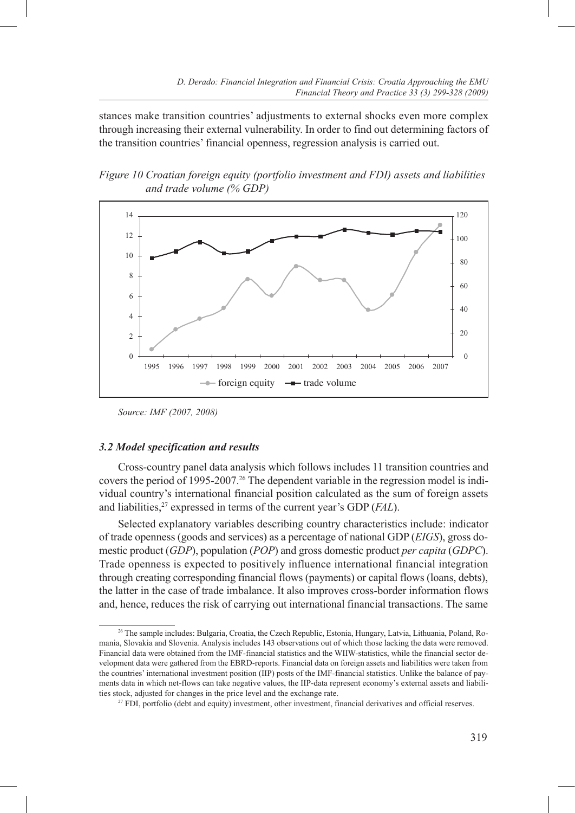stances make transition countries' adjustments to external shocks even more complex through increasing their external vulnerability. In order to find out determining factors of the transition countries' financial openness, regression analysis is carried out.

*Figure 10 Croatian foreign equity (portfolio investment and FDI) assets and liabilities and trade volume (% GDP)*



*Source: IMF (2007, 2008)*

## *3.2 Model specification and results*

Cross-country panel data analysis which follows includes 11 transition countries and covers the period of 1995-2007.<sup>26</sup> The dependent variable in the regression model is individual country's international financial position calculated as the sum of foreign assets and liabilities,<sup>27</sup> expressed in terms of the current year's GDP (*FAL*).

Selected explanatory variables describing country characteristics include: indicator of trade openness (goods and services) as a percentage of national GDP (*EIGS*), gross domestic product (*GDP*), population (*POP*) and gross domestic product *per capita* (*GDPC*). Trade openness is expected to positively influence international financial integration through creating corresponding financial flows (payments) or capital flows (loans, debts), the latter in the case of trade imbalance. It also improves cross-border information flows and, hence, reduces the risk of carrying out international financial transactions. The same

<sup>26</sup> The sample includes: Bulgaria, Croatia, the Czech Republic, Estonia, Hungary, Latvia, Lithuania, Poland, Romania, Slovakia and Slovenia. Analysis includes 143 observations out of which those lacking the data were removed. Financial data were obtained from the IMF-financial statistics and the WIIW-statistics, while the financial sector development data were gathered from the EBRD-reports. Financial data on foreign assets and liabilities were taken from the countries' international investment position (IIP) posts of the IMF-financial statistics. Unlike the balance of payments data in which net-flows can take negative values, the IIP-data represent economy's external assets and liabilities stock, adjusted for changes in the price level and the exchange rate.

<sup>27</sup> FDI, portfolio (debt and equity) investment, other investment, financial derivatives and official reserves.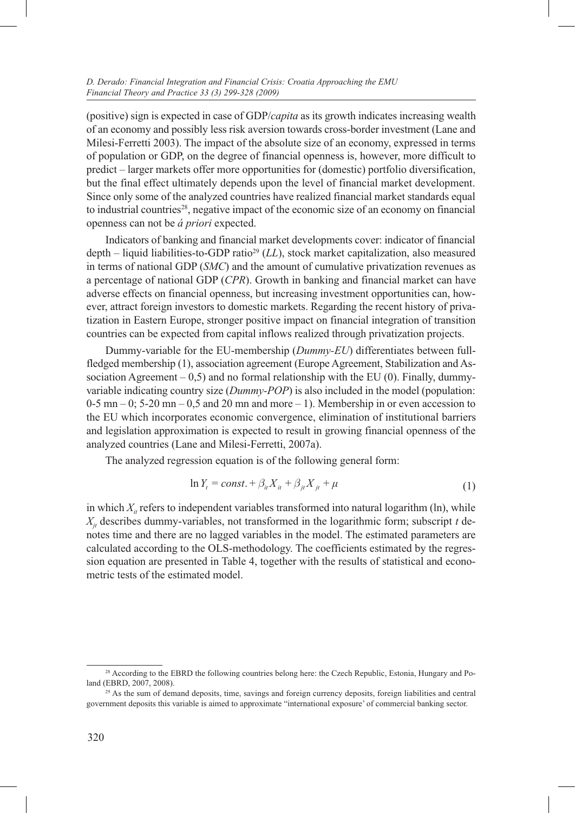(positive) sign is expected in case of GDP/*capita* as its growth indicates increasing wealth of an economy and possibly less risk aversion towards cross-border investment (Lane and Milesi-Ferretti 2003). The impact of the absolute size of an economy, expressed in terms of population or GDP, on the degree of financial openness is, however, more difficult to predict – larger markets offer more opportunities for (domestic) portfolio diversification, but the final effect ultimately depends upon the level of financial market development. Since only some of the analyzed countries have realized financial market standards equal to industrial countries<sup>28</sup>, negative impact of the economic size of an economy on financial openness can not be *á priori* expected.

Indicators of banking and financial market developments cover: indicator of financial depth – liquid liabilities-to-GDP ratio<sup>29</sup> (*LL*), stock market capitalization, also measured in terms of national GDP (*SMC*) and the amount of cumulative privatization revenues as a percentage of national GDP (*CPR*). Growth in banking and financial market can have adverse effects on financial openness, but increasing investment opportunities can, however, attract foreign investors to domestic markets. Regarding the recent history of privatization in Eastern Europe, stronger positive impact on financial integration of transition countries can be expected from capital inflows realized through privatization projects.

Dummy-variable for the EU-membership (*Dummy-EU*) differentiates between fullfledged membership (1), association agreement (Europe Agreement, Stabilization and Association Agreement – 0,5) and no formal relationship with the EU (0). Finally, dummyvariable indicating country size (*Dummy-POP*) is also included in the model (population:  $0-5$  mn – 0; 5-20 mn – 0,5 and 20 mn and more – 1). Membership in or even accession to the EU which incorporates economic convergence, elimination of institutional barriers and legislation approximation is expected to result in growing financial openness of the analyzed countries (Lane and Milesi-Ferretti, 2007a).

The analyzed regression equation is of the following general form:

$$
\ln Y_t = const. + \beta_{it} X_{it} + \beta_{jt} X_{jt} + \mu \tag{1}
$$

in which  $X_{i}$  refers to independent variables transformed into natural logarithm (ln), while  $X_i$  describes dummy-variables, not transformed in the logarithmic form; subscript *t* denotes time and there are no lagged variables in the model. The estimated parameters are calculated according to the OLS-methodology. The coefficients estimated by the regression equation are presented in Table 4, together with the results of statistical and econometric tests of the estimated model.

<sup>&</sup>lt;sup>28</sup> According to the EBRD the following countries belong here: the Czech Republic, Estonia, Hungary and Poland (EBRD, 2007, 2008).

<sup>29</sup> As the sum of demand deposits, time, savings and foreign currency deposits, foreign liabilities and central government deposits this variable is aimed to approximate "international exposure' of commercial banking sector.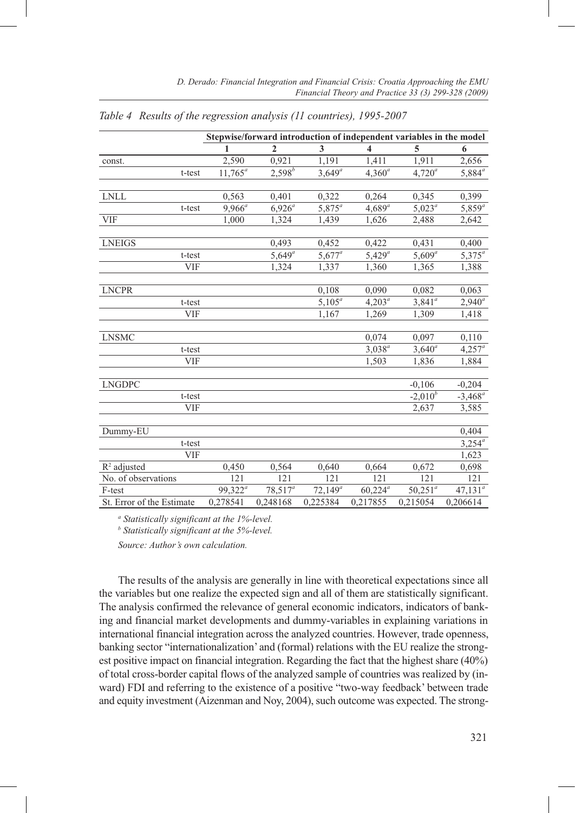|                           | Stepwise/forward introduction of independent variables in the model |                |            |                         |                 |                 |  |  |
|---------------------------|---------------------------------------------------------------------|----------------|------------|-------------------------|-----------------|-----------------|--|--|
|                           | 1                                                                   | $\overline{2}$ | 3          | $\overline{\mathbf{4}}$ | 5               | 6               |  |  |
| const.                    | 2.590                                                               | 0,921          | 1,191      | 1,411                   | 1,911           | 2,656           |  |  |
| t-test                    | $11,765^a$                                                          | $2,598^{b}$    | $3,649^a$  | $4,360^a$               | $4,720^a$       | $5,884^a$       |  |  |
|                           |                                                                     |                |            |                         |                 |                 |  |  |
| <b>LNLL</b>               | 0,563                                                               | 0,401          | 0,322      | 0,264                   | 0,345           | 0,399           |  |  |
| t-test                    | $9,966^a$                                                           | $6,926^{a}$    | $5,875^a$  | $4,689^a$               | $5,023^{\circ}$ | $5,859^a$       |  |  |
| <b>VIF</b>                | 1,000                                                               | 1,324          | 1,439      | 1,626                   | 2,488           | 2,642           |  |  |
|                           |                                                                     |                |            |                         |                 |                 |  |  |
| <b>LNEIGS</b>             |                                                                     | 0,493          | 0,452      | 0,422                   | 0,431           | 0,400           |  |  |
| t-test                    |                                                                     | $5,649^a$      | $5,677^a$  | $5,429^a$               | $5,609^a$       | $5,375^a$       |  |  |
| <b>VIF</b>                |                                                                     | 1,324          | 1,337      | 1,360                   | 1,365           | 1,388           |  |  |
|                           |                                                                     |                |            |                         |                 |                 |  |  |
| <b>LNCPR</b>              |                                                                     |                | 0,108      | 0,090                   | 0,082           | 0,063           |  |  |
| t-test                    |                                                                     |                | $5,105^a$  | $4,203^{\circ}$         | $3,841^a$       | $2,940^a$       |  |  |
| <b>VIF</b>                |                                                                     |                | 1,167      | 1,269                   | 1,309           | 1,418           |  |  |
|                           |                                                                     |                |            |                         |                 |                 |  |  |
| <b>LNSMC</b>              |                                                                     |                |            | 0,074                   | 0,097           | 0,110           |  |  |
| t-test                    |                                                                     |                |            | $3,038^a$               | $3,640^a$       | $4,257^a$       |  |  |
| VIF                       |                                                                     |                |            | 1,503                   | 1,836           | 1,884           |  |  |
|                           |                                                                     |                |            |                         |                 |                 |  |  |
| <b>LNGDPC</b>             |                                                                     |                |            |                         | $-0,106$        | $-0,204$        |  |  |
| t-test                    |                                                                     |                |            |                         | $-2,010^{b}$    | $-3,468^a$      |  |  |
| VIF                       |                                                                     |                |            |                         | 2,637           | 3,585           |  |  |
|                           |                                                                     |                |            |                         |                 |                 |  |  |
| Dummy-EU                  |                                                                     |                |            |                         |                 | 0,404           |  |  |
| t-test                    |                                                                     |                |            |                         |                 | $3,254^{\circ}$ |  |  |
| <b>VIF</b>                |                                                                     |                |            |                         |                 | 1,623           |  |  |
| $R2$ adjusted             | 0,450                                                               | 0,564          | 0,640      | 0,664                   | 0,672           | 0,698           |  |  |
| No. of observations       | 121                                                                 | 121            | 121        | 121                     | 121             | 121             |  |  |
| $\mbox{F-test}$           | $99,322^a$                                                          | $78,517^a$     | $72,149^a$ | $60,224^a$              | $50,251^a$      | $47,131^a$      |  |  |
| St. Error of the Estimate | 0,278541                                                            | 0,248168       | 0,225384   | 0,217855                | 0,215054        | 0,206614        |  |  |

*Table 4 Results of the regression analysis (11 countries), 1995-2007*

*a Statistically significant at the 1%-level.* 

*b Statistically significant at the 5%-level.*

*Source: Author's own calculation.*

The results of the analysis are generally in line with theoretical expectations since all the variables but one realize the expected sign and all of them are statistically significant. The analysis confirmed the relevance of general economic indicators, indicators of banking and financial market developments and dummy-variables in explaining variations in international financial integration across the analyzed countries. However, trade openness, banking sector "internationalization' and (formal) relations with the EU realize the strongest positive impact on financial integration. Regarding the fact that the highest share (40%) of total cross-border capital flows of the analyzed sample of countries was realized by (inward) FDI and referring to the existence of a positive "two-way feedback' between trade and equity investment (Aizenman and Noy, 2004), such outcome was expected. The strong-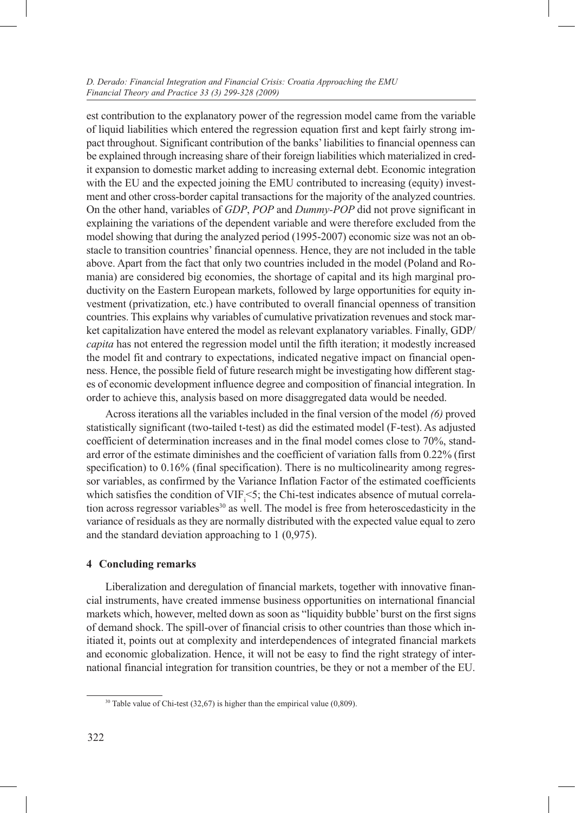#### *D. Derado: Financial Integration and Financial Crisis: Croatia Approaching the EMU Financial Theory and Practice 33 (3) 299-328 (2009)*

est contribution to the explanatory power of the regression model came from the variable of liquid liabilities which entered the regression equation first and kept fairly strong impact throughout. Significant contribution of the banks' liabilities to financial openness can be explained through increasing share of their foreign liabilities which materialized in credit expansion to domestic market adding to increasing external debt. Economic integration with the EU and the expected joining the EMU contributed to increasing (equity) investment and other cross-border capital transactions for the majority of the analyzed countries. On the other hand, variables of *GDP*, *POP* and *Dummy-POP* did not prove significant in explaining the variations of the dependent variable and were therefore excluded from the model showing that during the analyzed period (1995-2007) economic size was not an obstacle to transition countries' financial openness. Hence, they are not included in the table above. Apart from the fact that only two countries included in the model (Poland and Romania) are considered big economies, the shortage of capital and its high marginal productivity on the Eastern European markets, followed by large opportunities for equity investment (privatization, etc.) have contributed to overall financial openness of transition countries. This explains why variables of cumulative privatization revenues and stock market capitalization have entered the model as relevant explanatory variables. Finally, GDP/ *capita* has not entered the regression model until the fifth iteration; it modestly increased the model fit and contrary to expectations, indicated negative impact on financial openness. Hence, the possible field of future research might be investigating how different stages of economic development influence degree and composition of financial integration. In order to achieve this, analysis based on more disaggregated data would be needed.

Across iterations all the variables included in the final version of the model *(6)* proved statistically significant (two-tailed t-test) as did the estimated model (F-test). As adjusted coefficient of determination increases and in the final model comes close to 70%, standard error of the estimate diminishes and the coefficient of variation falls from 0.22% (first specification) to 0.16% (final specification). There is no multicolinearity among regressor variables, as confirmed by the Variance Inflation Factor of the estimated coefficients which satisfies the condition of  $VIF_{i} < 5$ ; the Chi-test indicates absence of mutual correlation across regressor variables<sup>30</sup> as well. The model is free from heteroscedasticity in the variance of residuals as they are normally distributed with the expected value equal to zero and the standard deviation approaching to 1 (0,975).

# **4 Concluding remarks**

Liberalization and deregulation of financial markets, together with innovative financial instruments, have created immense business opportunities on international financial markets which, however, melted down as soon as "liquidity bubble' burst on the first signs of demand shock. The spill-over of financial crisis to other countries than those which initiated it, points out at complexity and interdependences of integrated financial markets and economic globalization. Hence, it will not be easy to find the right strategy of international financial integration for transition countries, be they or not a member of the EU.

<sup>&</sup>lt;sup>30</sup> Table value of Chi-test (32,67) is higher than the empirical value (0,809).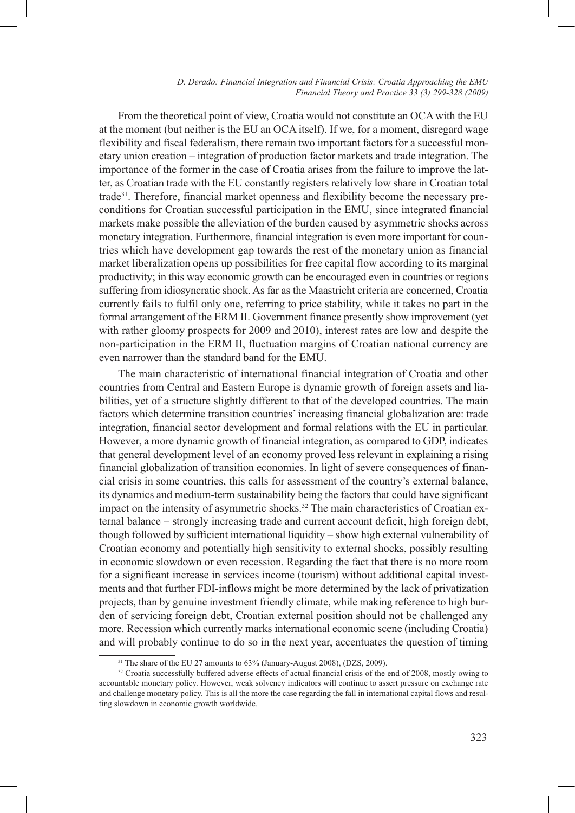From the theoretical point of view, Croatia would not constitute an OCA with the EU at the moment (but neither is the EU an OCA itself). If we, for a moment, disregard wage flexibility and fiscal federalism, there remain two important factors for a successful monetary union creation – integration of production factor markets and trade integration. The importance of the former in the case of Croatia arises from the failure to improve the latter, as Croatian trade with the EU constantly registers relatively low share in Croatian total trade<sup>31</sup>. Therefore, financial market openness and flexibility become the necessary preconditions for Croatian successful participation in the EMU, since integrated financial markets make possible the alleviation of the burden caused by asymmetric shocks across monetary integration. Furthermore, financial integration is even more important for countries which have development gap towards the rest of the monetary union as financial market liberalization opens up possibilities for free capital flow according to its marginal productivity; in this way economic growth can be encouraged even in countries or regions suffering from idiosyncratic shock. As far as the Maastricht criteria are concerned, Croatia currently fails to fulfil only one, referring to price stability, while it takes no part in the formal arrangement of the ERM II. Government finance presently show improvement (yet with rather gloomy prospects for 2009 and 2010), interest rates are low and despite the non-participation in the ERM II, fluctuation margins of Croatian national currency are even narrower than the standard band for the EMU.

The main characteristic of international financial integration of Croatia and other countries from Central and Eastern Europe is dynamic growth of foreign assets and liabilities, yet of a structure slightly different to that of the developed countries. The main factors which determine transition countries' increasing financial globalization are: trade integration, financial sector development and formal relations with the EU in particular. However, a more dynamic growth of financial integration, as compared to GDP, indicates that general development level of an economy proved less relevant in explaining a rising financial globalization of transition economies. In light of severe consequences of financial crisis in some countries, this calls for assessment of the country's external balance, its dynamics and medium-term sustainability being the factors that could have significant impact on the intensity of asymmetric shocks.<sup>32</sup> The main characteristics of Croatian external balance – strongly increasing trade and current account deficit, high foreign debt, though followed by sufficient international liquidity – show high external vulnerability of Croatian economy and potentially high sensitivity to external shocks, possibly resulting in economic slowdown or even recession. Regarding the fact that there is no more room for a significant increase in services income (tourism) without additional capital investments and that further FDI-inflows might be more determined by the lack of privatization projects, than by genuine investment friendly climate, while making reference to high burden of servicing foreign debt, Croatian external position should not be challenged any more. Recession which currently marks international economic scene (including Croatia) and will probably continue to do so in the next year, accentuates the question of timing

<sup>&</sup>lt;sup>31</sup> The share of the EU 27 amounts to 63% (January-August 2008), (DZS, 2009).

<sup>&</sup>lt;sup>32</sup> Croatia successfully buffered adverse effects of actual financial crisis of the end of 2008, mostly owing to accountable monetary policy. However, weak solvency indicators will continue to assert pressure on exchange rate and challenge monetary policy. This is all the more the case regarding the fall in international capital flows and resulting slowdown in economic growth worldwide.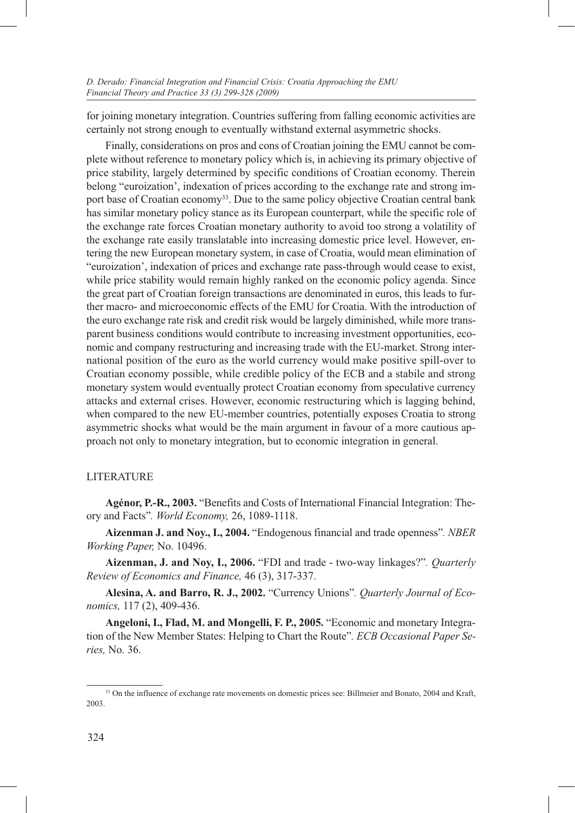for joining monetary integration. Countries suffering from falling economic activities are certainly not strong enough to eventually withstand external asymmetric shocks.

Finally, considerations on pros and cons of Croatian joining the EMU cannot be complete without reference to monetary policy which is, in achieving its primary objective of price stability, largely determined by specific conditions of Croatian economy. Therein belong "euroization', indexation of prices according to the exchange rate and strong import base of Croatian economy<sup>33</sup>. Due to the same policy objective Croatian central bank has similar monetary policy stance as its European counterpart, while the specific role of the exchange rate forces Croatian monetary authority to avoid too strong a volatility of the exchange rate easily translatable into increasing domestic price level. However, entering the new European monetary system, in case of Croatia, would mean elimination of "euroization', indexation of prices and exchange rate pass-through would cease to exist, while price stability would remain highly ranked on the economic policy agenda. Since the great part of Croatian foreign transactions are denominated in euros, this leads to further macro- and microeconomic effects of the EMU for Croatia. With the introduction of the euro exchange rate risk and credit risk would be largely diminished, while more transparent business conditions would contribute to increasing investment opportunities, economic and company restructuring and increasing trade with the EU-market. Strong international position of the euro as the world currency would make positive spill-over to Croatian economy possible, while credible policy of the ECB and a stabile and strong monetary system would eventually protect Croatian economy from speculative currency attacks and external crises. However, economic restructuring which is lagging behind, when compared to the new EU-member countries, potentially exposes Croatia to strong asymmetric shocks what would be the main argument in favour of a more cautious approach not only to monetary integration, but to economic integration in general.

## LITERATURE

**Agénor, P.-R., 2003.** "Benefits and Costs of International Financial Integration: Theory and Facts"*. World Economy,* 26, 1089-1118.

**Aizenman J. and Noy., I., 2004.** "Endogenous financial and trade openness"*. NBER Working Paper,* No. 10496.

**Aizenman, J. and Noy, I., 2006.** "FDI and trade - two-way linkages?"*. Quarterly Review of Economics and Finance,* 46 (3), 317-337.

**Alesina, A. and Barro, R. J., 2002.** "Currency Unions"*. Quarterly Journal of Economics,* 117 (2), 409-436.

**Angeloni, I., Flad, M. and Mongelli, F. P., 2005.** "Economic and monetary Integration of the New Member States: Helping to Chart the Route"*. ECB Occasional Paper Series,* No. 36.

<sup>33</sup> On the influence of exchange rate movements on domestic prices see: Billmeier and Bonato, 2004 and Kraft, 2003.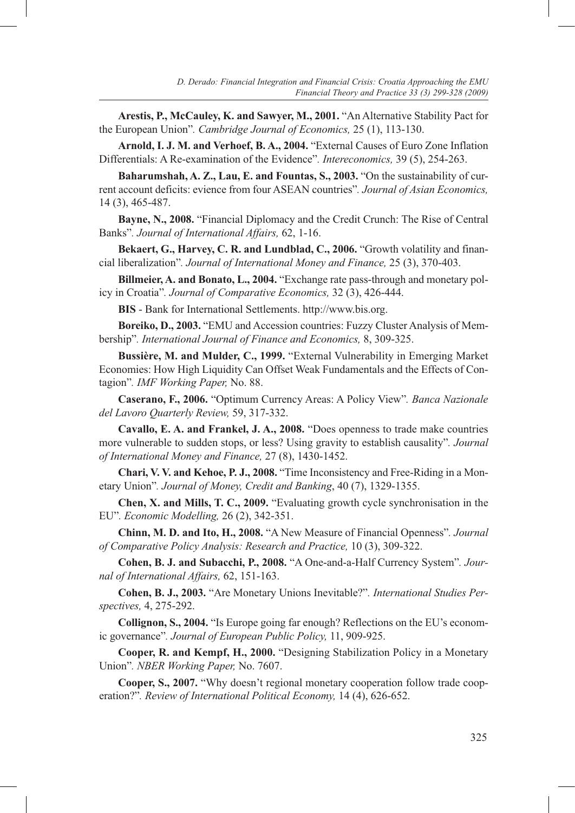**Arestis, P., McCauley, K. and Sawyer, M., 2001.** "An Alternative Stability Pact for the European Union"*. Cambridge Journal of Economics,* 25 (1), 113-130.

**Arnold, I. J. M. and Verhoef, B. A., 2004.** "External Causes of Euro Zone Inflation Differentials: A Re-examination of the Evidence"*. Intereconomics,* 39 (5), 254-263.

**Baharumshah, A. Z., Lau, E. and Fountas, S., 2003.** "On the sustainability of current account deficits: evience from four ASEAN countries"*. Journal of Asian Economics,* 14 (3), 465-487.

**Bayne, N., 2008.** "Financial Diplomacy and the Credit Crunch: The Rise of Central Banks"*. Journal of International Affairs,* 62, 1-16.

**Bekaert, G., Harvey, C. R. and Lundblad, C., 2006.** "Growth volatility and financial liberalization"*. Journal of International Money and Finance,* 25 (3), 370-403.

**Billmeier, A. and Bonato, L., 2004.** "Exchange rate pass-through and monetary policy in Croatia"*. Journal of Comparative Economics,* 32 (3), 426-444.

**BIS** - Bank for International Settlements. http://www.bis.org.

**Boreiko, D., 2003.** "EMU and Accession countries: Fuzzy Cluster Analysis of Membership"*. International Journal of Finance and Economics,* 8, 309-325.

**Bussière, M. and Mulder, C., 1999.** "External Vulnerability in Emerging Market Economies: How High Liquidity Can Offset Weak Fundamentals and the Effects of Contagion"*. IMF Working Paper,* No. 88.

**Caserano, F., 2006.** "Optimum Currency Areas: A Policy View"*. Banca Nazionale del Lavoro Quarterly Review,* 59, 317-332.

**Cavallo, E. A. and Frankel, J. A., 2008.** "Does openness to trade make countries more vulnerable to sudden stops, or less? Using gravity to establish causality"*. Journal of International Money and Finance,* 27 (8), 1430-1452.

**Chari, V. V. and Kehoe, P. J., 2008.** "Time Inconsistency and Free-Riding in a Monetary Union"*. Journal of Money, Credit and Banking*, 40 (7), 1329-1355.

**Chen, X. and Mills, T. C., 2009.** "Evaluating growth cycle synchronisation in the EU"*. Economic Modelling,* 26 (2), 342-351.

**Chinn, M. D. and Ito, H., 2008.** "A New Measure of Financial Openness"*. Journal of Comparative Policy Analysis: Research and Practice,* 10 (3), 309-322.

**Cohen, B. J. and Subacchi, P., 2008.** "A One-and-a-Half Currency System"*. Journal of International Affairs,* 62, 151-163.

**Cohen, B. J., 2003.** "Are Monetary Unions Inevitable?"*. International Studies Perspectives,* 4, 275-292.

**Collignon, S., 2004.** "Is Europe going far enough? Reflections on the EU's economic governance"*. Journal of European Public Policy,* 11, 909-925.

**Cooper, R. and Kempf, H., 2000.** "Designing Stabilization Policy in a Monetary Union"*. NBER Working Paper,* No. 7607.

**Cooper, S., 2007.** "Why doesn't regional monetary cooperation follow trade cooperation?"*. Review of International Political Economy,* 14 (4), 626-652.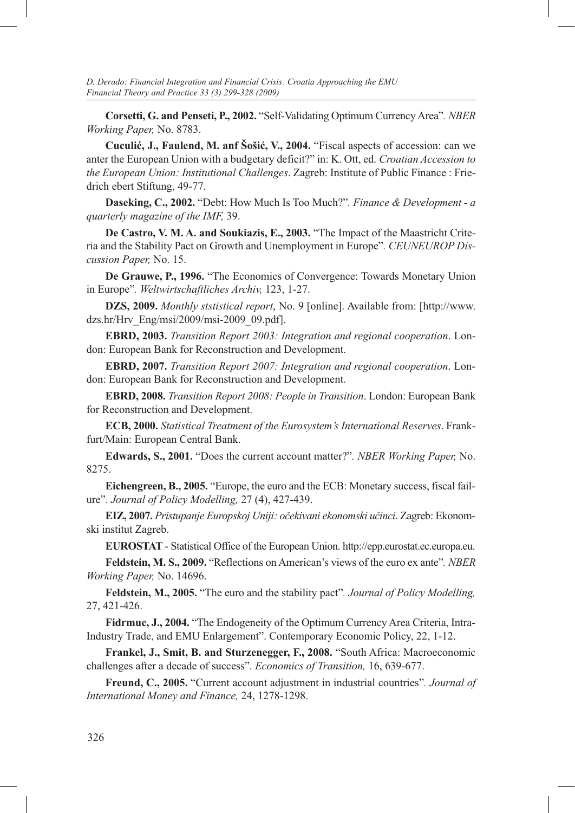**Corsetti, G. and Penseti, P., 2002.** "Self-Validating Optimum Currency Area"*. NBER Working Paper,* No. 8783.

**Cuculić, J., Faulend, M. anf Šošić, V., 2004.** "Fiscal aspects of accession: can we anter the European Union with a budgetary deficit?" in: K. Ott, ed. *Croatian Accession to the European Union: Institutional Challenges*. Zagreb: Institute of Public Finance : Friedrich ebert Stiftung, 49-77.

**Daseking, C., 2002.** "Debt: How Much Is Too Much?"*. Finance & Development - a quarterly magazine of the IMF,* 39.

**De Castro, V. M. A. and Soukiazis, E., 2003.** "The Impact of the Maastricht Criteria and the Stability Pact on Growth and Unemployment in Europe"*. CEUNEUROP Discussion Paper,* No. 15.

**De Grauwe, P., 1996.** "The Economics of Convergence: Towards Monetary Union in Europe"*. Weltwirtschaftliches Archiv,* 123, 1-27.

**DZS, 2009.** *Monthly ststistical report*, No. 9 [online]. Available from: [http://www. dzs.hr/Hrv\_Eng/msi/2009/msi-2009\_09.pdf].

**EBRD, 2003.** *Transition Report 2003: Integration and regional cooperation*. London: European Bank for Reconstruction and Development.

**EBRD, 2007.** *Transition Report 2007: Integration and regional cooperation*. London: European Bank for Reconstruction and Development.

**EBRD, 2008.** *Transition Report 2008: People in Transition*. London: European Bank for Reconstruction and Development.

**ECB, 2000.** *Statistical Treatment of the Eurosystem's International Reserves*. Frankfurt/Main: European Central Bank.

**Edwards, S., 2001.** "Does the current account matter?"*. NBER Working Paper,* No. 8275.

**Eichengreen, B., 2005.** "Europe, the euro and the ECB: Monetary success, fiscal failure"*. Journal of Policy Modelling,* 27 (4), 427-439.

**EIZ, 2007.** *Pristupanje Europskoj Uniji: očekivani ekonomski učinci*. Zagreb: Ekonomski institut Zagreb.

**EUROSTAT** - Statistical Office of the European Union. http://epp.eurostat.ec.europa.eu.

**Feldstein, M. S., 2009.** "Reflections on American's views of the euro ex ante"*. NBER Working Paper,* No. 14696.

**Feldstein, M., 2005.** "The euro and the stability pact"*. Journal of Policy Modelling,* 27, 421-426.

**Fidrmuc, J., 2004.** "The Endogeneity of the Optimum Currency Area Criteria, Intra-Industry Trade, and EMU Enlargement". Contemporary Economic Policy, 22, 1-12.

**Frankel, J., Smit, B. and Sturzenegger, F., 2008.** "South Africa: Macroeconomic challenges after a decade of success"*. Economics of Transition,* 16, 639-677.

**Freund, C., 2005.** "Current account adjustment in industrial countries"*. Journal of International Money and Finance,* 24, 1278-1298.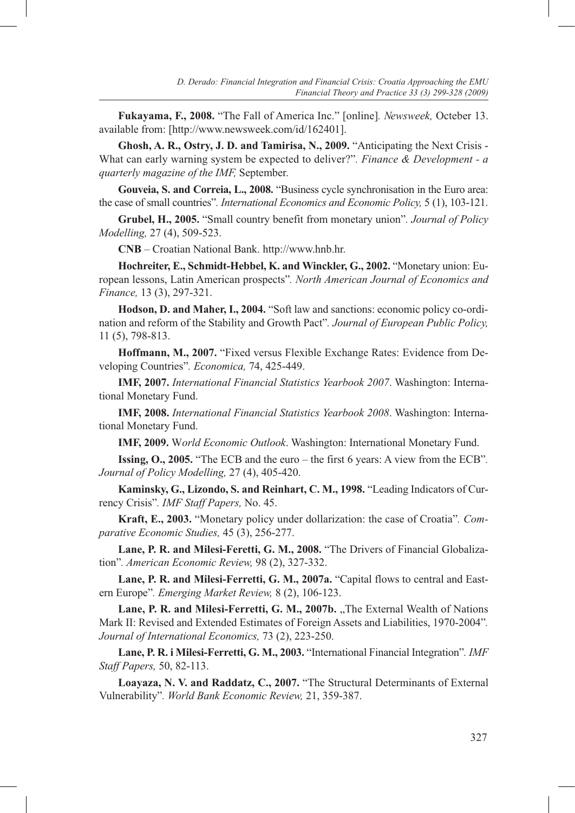**Fukayama, F., 2008.** "The Fall of America Inc." [online]*. Newsweek,* Octeber 13. available from: [http://www.newsweek.com/id/162401].

**Ghosh, A. R., Ostry, J. D. and Tamirisa, N., 2009.** "Anticipating the Next Crisis - What can early warning system be expected to deliver?"*. Finance & Development - a quarterly magazine of the IMF,* September.

**Gouveia, S. and Correia, L., 2008.** "Business cycle synchronisation in the Euro area: the case of small countries"*. International Economics and Economic Policy,* 5 (1), 103-121.

**Grubel, H., 2005.** "Small country benefit from monetary union"*. Journal of Policy Modelling,* 27 (4), 509-523.

**CNB** – Croatian National Bank. http://www.hnb.hr.

**Hochreiter, E., Schmidt-Hebbel, K. and Winckler, G., 2002.** "Monetary union: European lessons, Latin American prospects"*. North American Journal of Economics and Finance,* 13 (3), 297-321.

**Hodson, D. and Maher, I., 2004.** "Soft law and sanctions: economic policy co-ordination and reform of the Stability and Growth Pact"*. Journal of European Public Policy,* 11 (5), 798-813.

**Hoffmann, M., 2007.** "Fixed versus Flexible Exchange Rates: Evidence from Developing Countries"*. Economica,* 74, 425-449.

**IMF, 2007.** *International Financial Statistics Yearbook 2007*. Washington: International Monetary Fund.

**IMF, 2008.** *International Financial Statistics Yearbook 2008*. Washington: International Monetary Fund.

**IMF, 2009.** W*orld Economic Outlook*. Washington: International Monetary Fund.

**Issing, O., 2005.** "The ECB and the euro – the first 6 years: A view from the ECB"*. Journal of Policy Modelling,* 27 (4), 405-420.

**Kaminsky, G., Lizondo, S. and Reinhart, C. M., 1998.** "Leading Indicators of Currency Crisis"*. IMF Staff Papers,* No. 45.

**Kraft, E., 2003.** "Monetary policy under dollarization: the case of Croatia"*. Comparative Economic Studies,* 45 (3), 256-277.

**Lane, P. R. and Milesi-Feretti, G. M., 2008.** "The Drivers of Financial Globalization"*. American Economic Review,* 98 (2), 327-332.

Lane, P. R. and Milesi-Ferretti, G. M., 2007a. "Capital flows to central and Eastern Europe"*. Emerging Market Review,* 8 (2), 106-123.

Lane, P. R. and Milesi-Ferretti, G. M., 2007b. "The External Wealth of Nations Mark II: Revised and Extended Estimates of Foreign Assets and Liabilities, 1970-2004"*. Journal of International Economics,* 73 (2), 223-250.

**Lane, P. R. i Milesi-Ferretti, G. M., 2003.** "International Financial Integration"*. IMF Staff Papers,* 50, 82-113.

**Loayaza, N. V. and Raddatz, C., 2007.** "The Structural Determinants of External Vulnerability"*. World Bank Economic Review,* 21, 359-387.